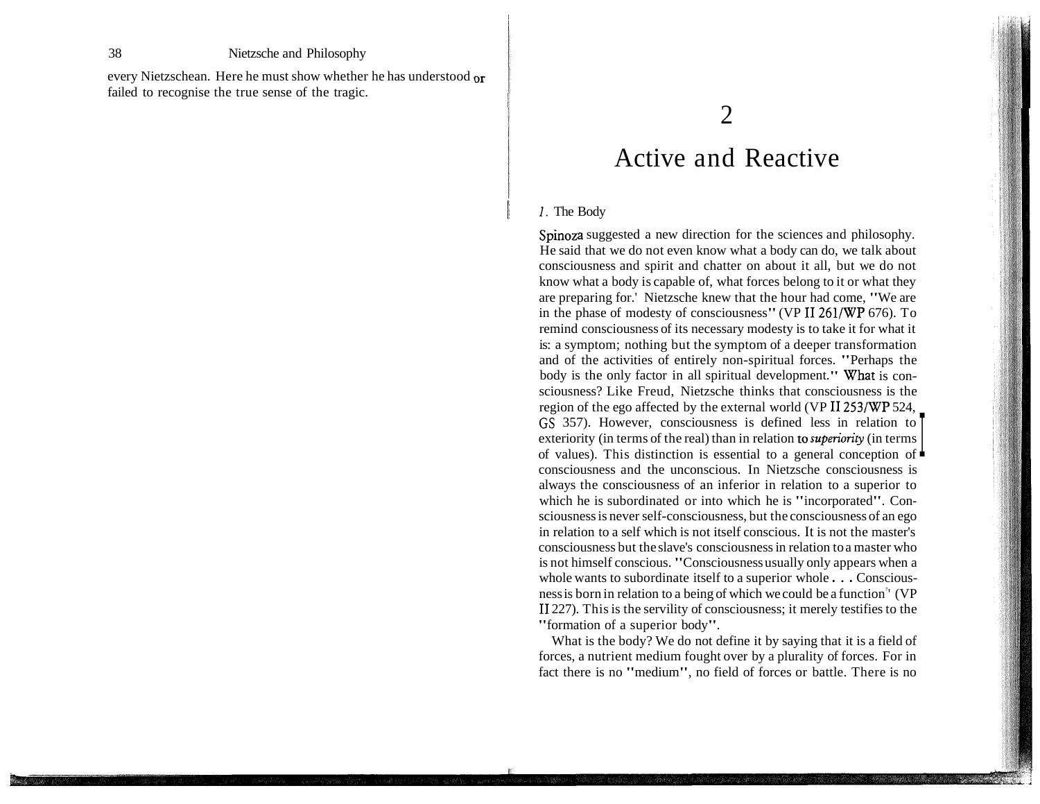every Nietzschean. Here he must show whether he has understood  $_{\text{or}}$ failed to recognise the true sense of the tragic.

# 2

# Active and Reactive

#### 1. The Body

Spinoza suggested a new direction for the sciences and philosophy. He said that we do not even know what a body can do, we talk about consciousness and spirit and chatter on about it all, but we do not know what a body is capable of, what forces belong to it or what they are preparing for.' Nietzsche knew that the hour had come, "We are in the phase of modesty of consciousness" (VP **I1** 261/WP 676). To remind consciousness of its necessary modesty is to take it for what it is: a symptom; nothing but the symptom of a deeper transformation and of the activities of entirely non-spiritual forces. "Perhaps the body is the only factor in all spiritual development." What is consciousness? Like Freud, Nietzsche thinks that consciousness is the region of the ego affected by the external world (VP II 253/WP 524, GS 357). However, consciousness is defined less in relation to  $\uparrow$ exteriority (in terms of the real) than in relation to *superiority* (in terms of values). This distinction is essential to a general conception of  $\overline{\phantom{a}}$ consciousness and the unconscious. In Nietzsche consciousness is always the consciousness of an inferior in relation to a superior to which he is subordinated or into which he is "incorporated". Consciousness is never self-consciousness, but the consciousness of an ego in relation to a self which is not itself conscious. It is not the master's consciousness but the slave's consciousness in relation to a master who is not himself conscious. "Consciousness usually only appears when a whole wants to subordinate itself to a superior whole . . . Consciousness is born in relation to a being of which we could be a function<sup> $\pi$ </sup> (VP **I1** 227). This is the servility of consciousness; it merely testifies to the "formation of a superior body".

What is the body? We do not define it by saying that it is a field of forces, a nutrient medium fought over by a plurality of forces. For in fact there is no "medium", no field of forces or battle. There is no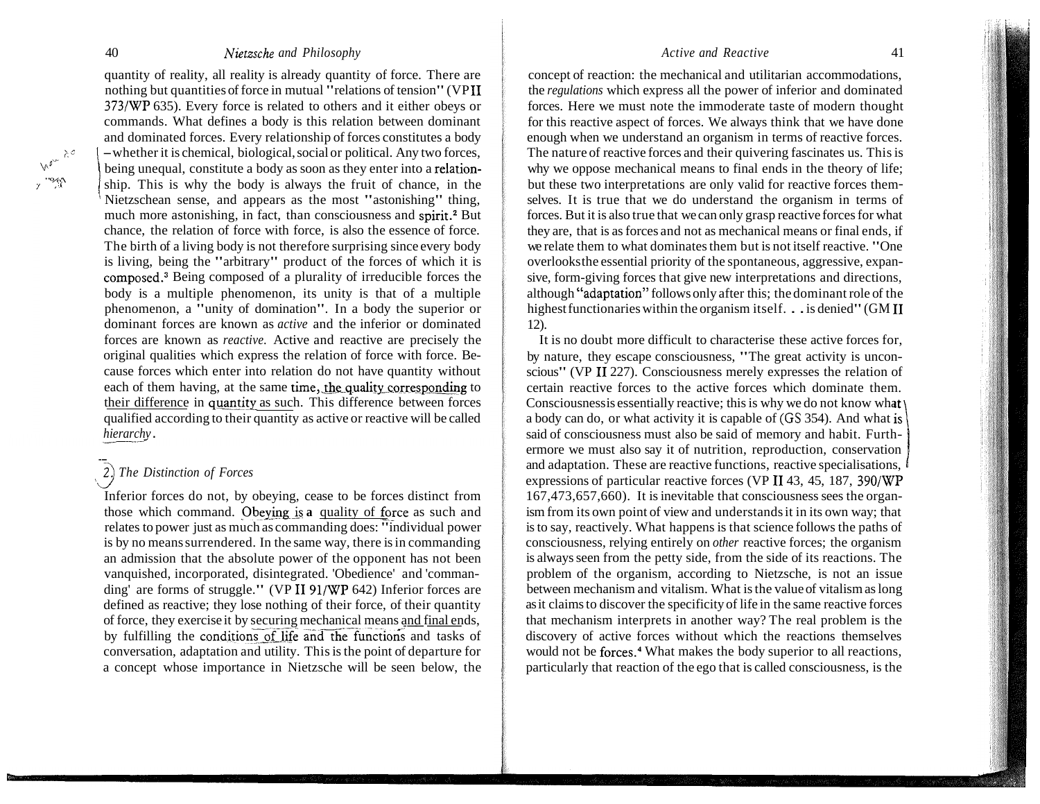quantity of reality, all reality is already quantity of force. There are nothing but quantities of force in mutual "relations of tension" (VP I1 373/WP 635). Every force is related to others and it either obeys or commands. What defines a body is this relation between dominant and dominated forces. Every relationship of forces constitutes a body -whether it is chemical, biological, social or political. Any two forces, being unequal, constitute a body as soon as they enter into a relation-<br>ship. This is why the body is always the fruit of chance, in the ship. This is why the body is always the fruit of chance, in the Nietzschean sense, and appears as the most "astonishing" thing, much more astonishing, in fact, than consciousness and spirit.<sup>2</sup> But chance, the relation of force with force, is also the essence of force. The birth of a living body is not therefore surprising since every body is living, being the "arbitrary" product of the forces of which it is composed.<sup>3</sup> Being composed of a plurality of irreducible forces the body is a multiple phenomenon, its unity is that of a multiple phenomenon, a "unity of domination". In a body the superior or dominant forces are known as *active* and the inferior or dominated forces are known as *reactive.* Active and reactive are precisely the original qualities which express the relation of force with force. Because forces which enter into relation do not have quantity without each of them having, at the same time, the quality corresponding to their difference in quantity as such. This difference between forces qualified according to their quantity as active or reactive will be called *hierarchv* .

#### -- 2) *The Distinction of Forces* \,  $\bigcup$

Inferior forces do not, by obeying, cease to be forces distinct from those which command. Obeying is a quality of force as such and relates to power just as much as commanding does: "individual power is by no means surrendered. In the same way, there is in commanding an admission that the absolute power of the opponent has not been vanquished, incorporated, disintegrated. 'Obedience' and 'commanding' are forms of struggle." (VP I1 91/WP 642) Inferior forces are defined as reactive; they lose nothing of their force, of their quantity relates to power just as much as commanding does: "individual power<br>is by no means surrendered. In the same way, there is in commanding<br>an admission that the absolute power of the opponent has not been<br>vanquished, incorpor conversation, adaptation and utility. This is the point of departure for a concept whose importance in Nietzsche will be seen below, the

#### *Active and Reactive* 41

concept of reaction: the mechanical and utilitarian accommodations, the *regulations* which express all the power of inferior and dominated forces. Here we must note the immoderate taste of modern thought for this reactive aspect of forces. We always think that we have done enough when we understand an organism in terms of reactive forces. The nature of reactive forces and their quivering fascinates us. This is why we oppose mechanical means to final ends in the theory of life; but these two interpretations are only valid for reactive forces themselves. It is true that we do understand the organism in terms of forces. But it is also true that we can only grasp reactive forces for what they are, that is as forces and not as mechanical means or final ends, if we relate them to what dominates them but is not itself reactive. "One overlooks the essential priority of the spontaneous, aggressive, expansive, form-giving forces that give new interpretations and directions, although "adaptation" follows only after this; the dominant role of the highest functionaries within the organism itself. . . is denied" (GM II 12).

It is no doubt more difficult to characterise these active forces for, by nature, they escape consciousness, "The great activity is unconscious" (VP I1 227). Consciousness merely expresses the relation of certain reactive forces to the active forces which dominate them. Consciousness is essentially reactive; this is why we do not know what a body can do, or what activity it is capable of  $(GS 354)$ . And what is said of consciousness must also be said of memory and habit. Furthermore we must also say it of nutrition, reproduction, conservation and adaptation. These are reactive functions, reactive specialisations, 1 I expressions of particular reactive forces (VP II 43, 45, 187, 390/WP) 167,473,657,660). It is inevitable that consciousness sees the organism from its own point of view and understands it in its own way; that is to say, reactively. What happens is that science follows the paths of consciousness, relying entirely on *other* reactive forces; the organism is always seen from the petty side, from the side of its reactions. The problem of the organism, according to Nietzsche, is not an issue between mechanism and vitalism. What is the value of vitalism as long as it claims to discover the specificity of life in the same reactive forces that mechanism interprets in another way? The real problem is the discovery of active forces without which the reactions themselves would not be forces.<sup>4</sup> What makes the body superior to all reactions, particularly that reaction of the ego that is called consciousness, is the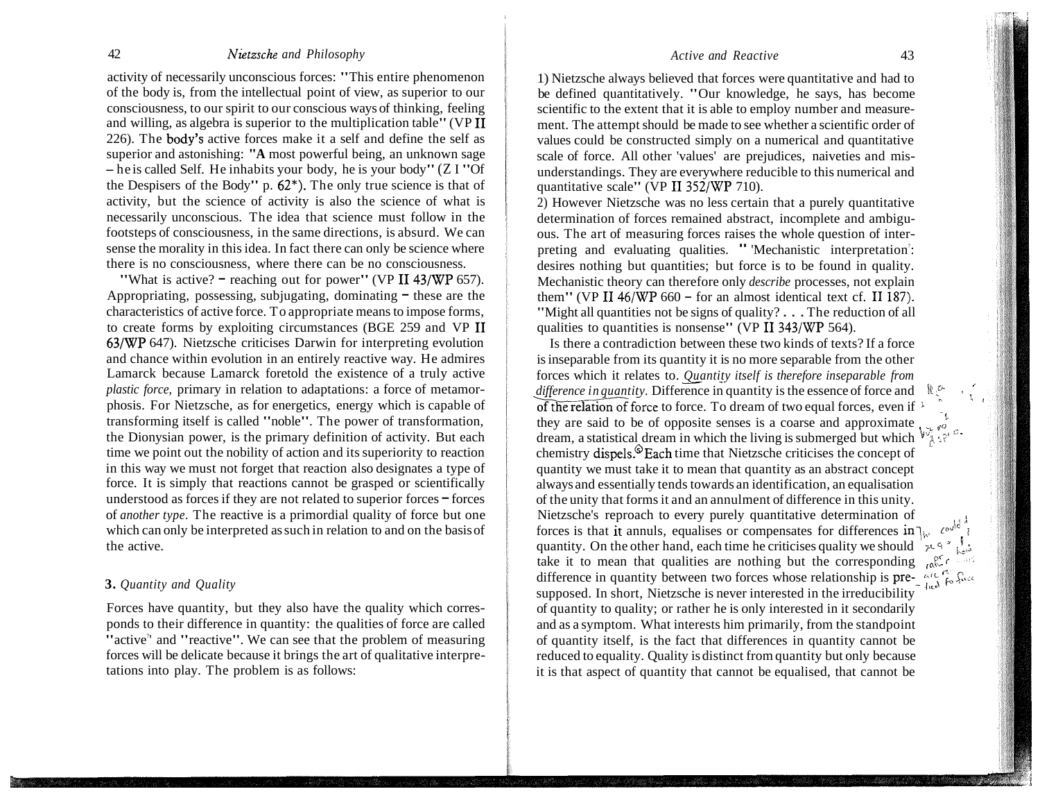activity of necessarily unconscious forces: "This entire phenomenon of the body is, from the intellectual point of view, as superior to our consciousness, to our spirit to our conscious ways of thinking, feeling and willing, as algebra is superior to the multiplication table" (VP I1 226). The body's active forces make it a self and define the self as superior and astonishing: **"A** most powerful being, an unknown sage -he is called Self. He inhabits your body, he is your body" (Z I "Of the Despisers of the Body" p. 62\*). The only true science is that of activity, but the science of activity is also the science of what is necessarily unconscious. The idea that science must follow in the footsteps of consciousness, in the same directions, is absurd. We can sense the morality in this idea. In fact there can only be science where there is no consciousness, where there can be no consciousness.

"What is active?  $=$  reaching out for power" (VP II 43/WP 657). Appropriating, possessing, subjugating, dominating  $=$  these are the characteristics of active force. To appropriate means to impose forms, to create forms by exploiting circumstances (BGE 259 and VP I1 63/WP 647). Nietzsche criticises Darwin for interpreting evolution and chance within evolution in an entirely reactive way. He admires Lamarck because Lamarck foretold the existence of a truly active *plastic force,* primary in relation to adaptations: a force of metamorphosis. For Nietzsche, as for energetics, energy which is capable of transforming itself is called "noble". The power of transformation, the Dionysian power, is the primary definition of activity. But each time we point out the nobility of action and its superiority to reaction in this way we must not forget that reaction also designates a type of force. It is simply that reactions cannot be grasped or scientifically understood as forces if they are not related to superior forces  $=$  forces of *another type.* The reactive is a primordial quality of force but one which can only be interpreted as such in relation to and on the basis of the active.

#### **3.** *Quantity and Quality*

Forces have quantity, but they also have the quality which corresponds to their difference in quantity: the qualities of force are called "active" and "reactive". We can see that the problem of measuring forces will be delicate because it brings the art of qualitative interpretations into play. The problem is as follows:

1) Nietzsche always believed that forces were quantitative and had to be defined quantitatively. "Our knowledge, he says, has become scientific to the extent that it is able to employ number and measurement. The attempt should be made to see whether a scientific order of values could be constructed simply on a numerical and quantitative scale of force. All other 'values' are prejudices, naiveties and misunderstandings. They are everywhere reducible to this numerical and quantitative scale" (VP II  $352/WP$  710).

2) However Nietzsche was no less certain that a purely quantitative determination of forces remained abstract, incomplete and ambiguous. The art of measuring forces raises the whole question of interpreting and evaluating qualities. "Wechanistic interpretation": desires nothing but quantities; but force is to be found in quality. Mechanistic theory can therefore only *describe* processes, not explain them" (VP II  $46/WP$  660 – for an almost identical text cf. II 187). "Might all quantities not be signs of quality? . . . The reduction of all qualities to quantities is nonsense" (VP I1 343/WP 564).

Is there a contradiction between these two kinds of texts? If a force is inseparable from its quantity it is no more separable from the other forces which it relates to. *Quantity itself is therefore inseparable from difference in quantity.* Difference in quantity is the essence of force and  $\overline{\text{of the relation of force}}$  to force. To dream of two equal forces, even if they are said to be of opposite senses is a coarse and approximate, dream, a statistical dream in which the living is submerged but which chemistry dispels.<sup>©</sup> Each time that Nietzsche criticises the concept of quantity we must take it to mean that quantity as an abstract concept always and essentially tends towards an identification, an equalisation of the unity that forms it and an annulment of difference in this unity. Nietzsche's reproach to every purely quantitative determination of forces is that it annuls, equalises or companented for different  $\mathbb{R}$ forces is that it annuls, equalises or compensates for differences  $\text{in} \gamma_{\text{b}}$ . quantity. On the other hand, each time he criticises quality we should  $\int_{\mathcal{P}}$ take it to mean that qualities are nothing but the corresponding  $\mathbb{R}^{\mathcal{C}}$ . difference in quantity between two forces whose relationship is pre- $\frac{1}{2}$   $\frac{1}{2}$   $\frac{1}{2}$   $\frac{1}{2}$ supposed. In short, Nietzsche is never interested in the irreducibility of quantity to quality; or rather he is only interested in it secondarily and as a symptom. What interests him primarily, from the standpoint of quantity itself, is the fact that differences in quantity cannot be reduced to equality. Quality is distinct from quantity but only because it is that aspect of quantity that cannot be equalised, that cannot be

 $\mathbf{I}_{\mathbf{t}}$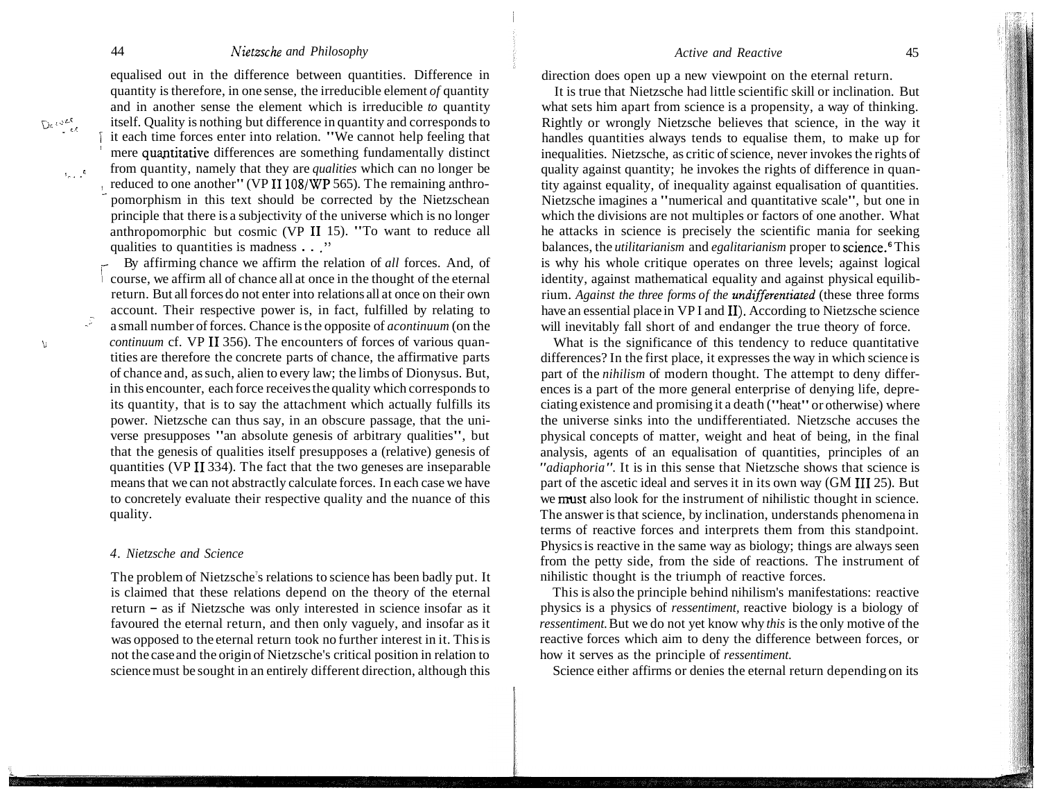equalised out in the difference between quantities. Difference in quantity is therefore, in one sense, the irreducible element *of* quantity and in another sense the element which is irreducible *to* quantity  $\sum_{c} c^{i}$  itself. Quality is nothing but difference in quantity and corresponds to it each time forces enter into relation. "We cannot help feeling that mere quantitative differences are something fundamentally distinct from quantity, namely that they are *qualities* which can no longer be reduced to one another" (VP II  $108/\overline{W}P$  565). The remaining anthropomorphism in this text should be corrected by the Nietzschean principle that there is a subjectivity of the universe which is no longer anthropomorphic but cosmic (VP I1 15). "To want to reduce all qualities to quantities is madness . . ."

By affirming chance we affirm the relation of *all* forces. And, of course, we affirm all of chance all at once in the thought of the eternal return. But all forces do not enter into relations all at once on their own account. Their respective power is, in fact, fulfilled by relating to a small number of forces. Chance is the opposite of *acontinuum* (on the **L** *continuum* cf. VP I1 356). The encounters of forces of various quantities are therefore the concrete parts of chance, the affirmative parts of chance and, as such, alien to every law; the limbs of Dionysus. But, in this encounter, each force receives the quality which corresponds to its quantity, that is to say the attachment which actually fulfills its power. Nietzsche can thus say, in an obscure passage, that the universe presupposes "an absolute genesis of arbitrary qualities", but that the genesis of qualities itself presupposes a (relative) genesis of quantities (VP I1 334). The fact that the two geneses are inseparable means that we can not abstractly calculate forces. In each case we have to concretely evaluate their respective quality and the nuance of this quality.

#### *4. Nietzsche and Science*

The problem of Nietzsche's relations to science has been badly put. It is claimed that these relations depend on the theory of the eternal return - as if Nietzsche was only interested in science insofar as it favoured the eternal return, and then only vaguely, and insofar as it was opposed to the eternal return took no further interest in it. This is not the case and the origin of Nietzsche's critical position in relation to science must be sought in an entirely different direction, although this

direction does open up a new viewpoint on the eternal return.

It is true that Nietzsche had little scientific skill or inclination. But what sets him apart from science is a propensity, a way of thinking. Rightly or wrongly Nietzsche believes that science, in the way it handles quantities always tends to equalise them, to make up for inequalities. Nietzsche, as critic of science, never invokes the rights of quality against quantity; he invokes the rights of difference in quantity against equality, of inequality against equalisation of quantities. Nietzsche imagines a "numerical and quantitative scale", but one in which the divisions are not multiples or factors of one another. What he attacks in science is precisely the scientific mania for seeking balances, the *utilitarianism* and *egalitarianism* proper to science.<sup>6</sup> This is why his whole critique operates on three levels; against logical identity, against mathematical equality and against physical equilibrium. *Against the three forms of the undifferentiated* (these three forms have an essential place in VP I and II). According to Nietzsche science will inevitably fall short of and endanger the true theory of force.

What is the significance of this tendency to reduce quantitative differences? In the first place, it expresses the way in which science is part of the *nihilism* of modern thought. The attempt to deny differences is a part of the more general enterprise of denying life, depreciating existence and promising it a death ("heat" or otherwise) where the universe sinks into the undifferentiated. Nietzsche accuses the physical concepts of matter, weight and heat of being, in the final analysis, agents of an equalisation of quantities, principles of an *"adiaphoria".* It is in this sense that Nietzsche shows that science is part of the ascetic ideal and serves it in its own way (GM I11 25). But we **must** also look for the instrument of nihilistic thought in science. The answer is that science, by inclination, understands phenomena in terms of reactive forces and interprets them from this standpoint. Physics is reactive in the same way as biology; things are always seen from the petty side, from the side of reactions. The instrument of nihilistic thought is the triumph of reactive forces.

This is also the principle behind nihilism's manifestations: reactive physics is a physics of *ressentiment,* reactive biology is a biology of *ressentiment.* But we do not yet know why *this* is the only motive of the reactive forces which aim to deny the difference between forces, or how it serves as the principle of *ressentiment.* 

Science either affirms or denies the eternal return depending on its

?.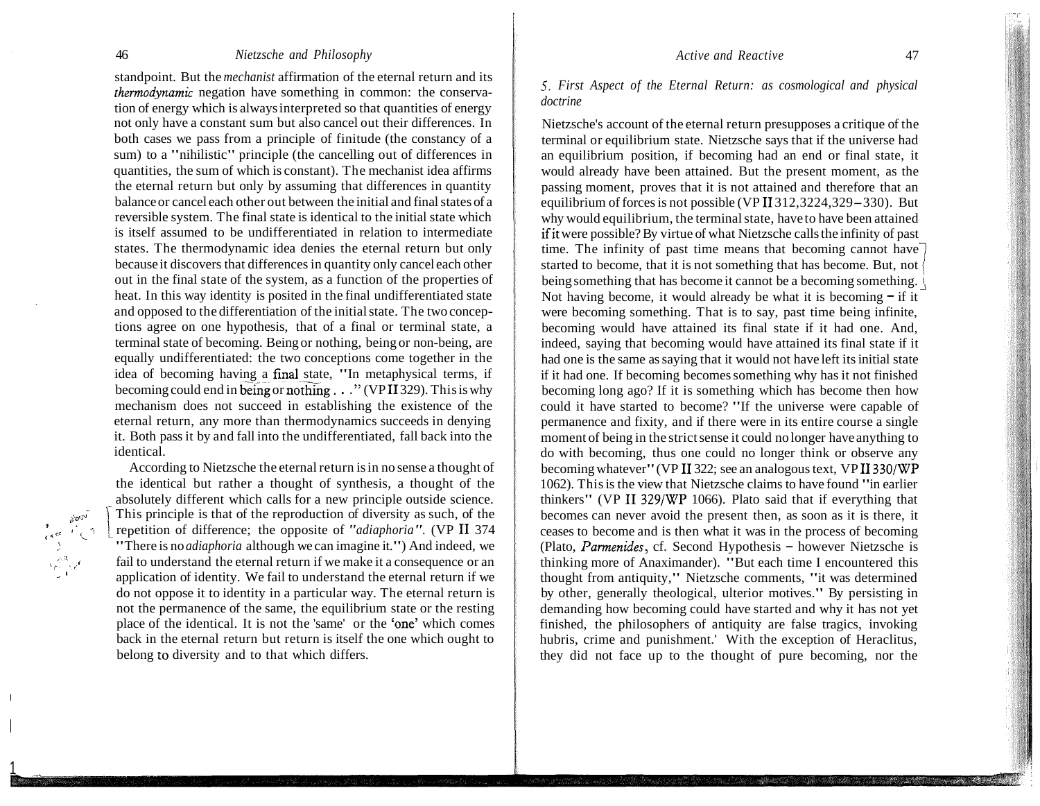standpoint. But the *mechanist* affirmation of the eternal return and its *thermodynamic* negation have something in common: the conservation of energy which is always interpreted so that quantities of energy not only have a constant sum but also cancel out their differences. In both cases we pass from a principle of finitude (the constancy of a sum) to a "nihilistic" principle (the cancelling out of differences in quantities, the sum of which is constant). The mechanist idea affirms the eternal return but only by assuming that differences in quantity balance or cancel each other out between the initial and final states of a reversible system. The final state is identical to the initial state which is itself assumed to be undifferentiated in relation to intermediate states. The thermodynamic idea denies the eternal return but only because it discovers that differences in quantity only cancel each other out in the final state of the system, as a function of the properties of heat. In this way identity is posited in the final undifferentiated state and opposed to the differentiation of the initial state. The two conceptions agree on one hypothesis, that of a final or terminal state, a terminal state of becoming. Being or nothing, being or non-being, are equally undifferentiated: the two conceptions come together in the idea of becoming having a final state, "In metaphysical terms, if becoming could end in being or nothing . . ." (VP II 329). This is why mechanism does not succeed in establishing the existence of the eternal return, any more than thermodynamics succeeds in denying it. Both pass it by and fall into the undifferentiated, fall back into the identical. According to Nietzsche the eternal return is in no sense a thought of

 $v_{\gamma,\epsilon}^{(1)}$ 

I

1

the identical but rather a thought of synthesis, a thought of the absolutely different which calls for a new principle outside science. This principle is that of the reproduction of diversity as such, of the repetition of difference; the opposite of *"adiaphoria"*. **(VP II 374** : "There is no *adiaphoria* although we can imagine it.") And indeed, we fail to understand the eternal return if we make it a consequence or an <sup>1</sup>application of identity. We fail to understand the eternal return if we do not oppose it to identity in a particular way. The eternal return is not the permanence of the same, the equilibrium state or the resting place of the identical. It is not the 'same' or the 'one' which comes back in the eternal return but return is itself the one which ought to belong to diversity and to that which differs.

*5. First Aspect of the Eternal Return: as cosmological and physical doctrine* 

Nietzsche's account of the eternal return presupposes a critique of the terminal or equilibrium state. Nietzsche says that if the universe had an equilibrium position, if becoming had an end or final state, it would already have been attained. But the present moment, as the passing moment, proves that it is not attained and therefore that an equilibrium of forces is not possible (VPII 312, 3224, 329 – 330). But why would equilibrium, the terminal state, have to have been attained ifit were possible? By virtue of what Nietzsche calls the infinity of past time. The infinity of past time means that becoming cannot have started to become, that it is not something that has become. But, not Not having become, it would already be what it is becoming  $=$  if it being something that has become it cannot be a becoming something. were becoming something. That is to say, past time being infinite, becoming would have attained its final state if it had one. And, indeed, saying that becoming would have attained its final state if it had one is the same as saying that it would not have left its initial state if it had one. If becoming becomes something why has it not finished becoming long ago? If it is something which has become then how could it have started to become? "If the universe were capable of permanence and fixity, and if there were in its entire course a single moment of being in the strict sense it could no longer have anything to do with becoming, thus one could no longer think or observe any becoming whatever" (VP I1 322; see an analogous text, VP I1 330/WP 1062). This is the view that Nietzsche claims to have found "in earlier thinkers" (VP II 329/WP 1066). Plato said that if everything that becomes can never avoid the present then, as soon as it is there, it ceases to become and is then what it was in the process of becoming (Plato, *Parmenides*, cf. Second Hypothesis - however Nietzsche is thinking more of Anaximander). "But each time I encountered this thought from antiquity," Nietzsche comments, "it was determined by other, generally theological, ulterior motives." By persisting in demanding how becoming could have started and why it has not yet finished, the philosophers of antiquity are false tragics, invoking hubris, crime and punishment.' With the exception of Heraclitus, they did not face up to the thought of pure becoming, nor the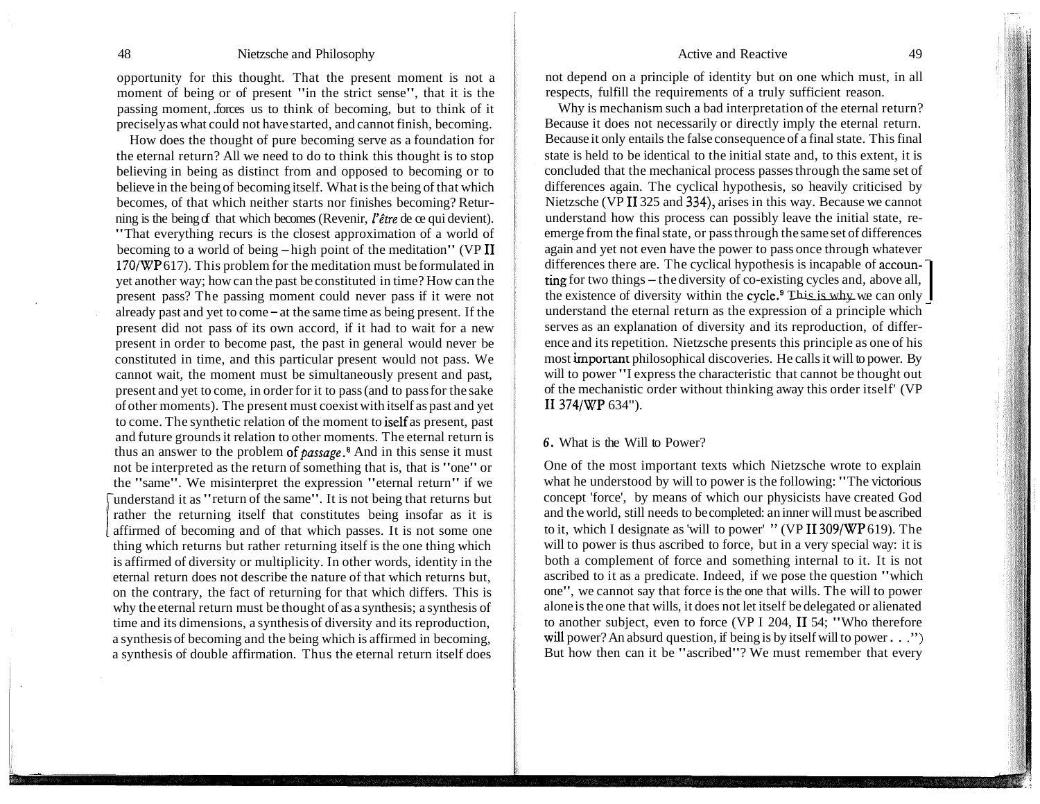opportunity for this thought. That the present moment is not a moment of being or of present "in the strict sense", that it is the passing moment, .forces us to think of becoming, but to think of it precisely as what could not have started, and cannot finish, becoming.

How does the thought of pure becoming serve as a foundation for the eternal return? All we need to do to think this thought is to stop believing in being as distinct from and opposed to becoming or to believe in the being of becoming itself. What is the being of that which becomes, of that which neither starts nor finishes becoming? Returning is the being of that which becomes (Revenir,  $\ell^2$  etre de ce qui devient). "That everything recurs is the closest approximation of a world of becoming to a world of being -high point of the meditation" (VP I1 170/WP 617). This problem for the meditation must be formulated in yet another way; how can the past be constituted in time? How can the present pass? The passing moment could never pass if it were not already past and yet to come - at the same time as being present. If the present did not pass of its own accord, if it had to wait for a new present in order to become past, the past in general would never be constituted in time, and this particular present would not pass. We cannot wait, the moment must be simultaneously present and past, present and yet to come, in order for it to pass (and to pass for the sake of other moments). The present must coexist with itself as past and yet to come. The synthetic relation of the moment to iself as present, past and future grounds it relation to other moments. The eternal return is thus an answer to the problem of passage.<sup>8</sup> And in this sense it must not be interpreted as the return of something that is, that is "one" or the "same". We misinterpret the expression "eternal return" if we understand it as "return of the same". It is not being that returns but rather the returning itself that constitutes being insofar as it is affirmed of becoming and of that which passes. It is not some one thing which returns but rather returning itself is the one thing which is affirmed of diversity or multiplicity. In other words, identity in the eternal return does not describe the nature of that which returns but, on the contrary, the fact of returning for that which differs. This is why the eternal return must be thought of as a synthesis; a synthesis of time and its dimensions, a synthesis of diversity and its reproduction, a synthesis of becoming and the being which is affirmed in becoming, a synthesis of double affirmation. Thus the eternal return itself does

not depend on a principle of identity but on one which must, in all respects, fulfill the requirements of a truly sufficient reason.

Why is mechanism such a bad interpretation of the eternal return? Because it does not necessarily or directly imply the eternal return. Because it only entails the false consequence of a final state. This final state is held to be identical to the initial state and, to this extent, it is concluded that the mechanical process passes through the same set of differences again. The cyclical hypothesis, so heavily criticised by Nietzsche (VP I1 325 and 334), arises in this way. Because we cannot understand how this process can possibly leave the initial state, reemerge from the final state, or pass through the same set of differences again and yet not even have the power to pass once through whatever differences there are. The cyclical hypothesis is incapable of accoun-<sup>-</sup> ting for two things – the diversity of co-existing cycles and, above all, ting for two things – the diversity of co-existing cycles and, above all, the existence of diversity within the cycle.<sup>9</sup> This is why we can only  $\Box$ understand the eternal return as the expression of a principle which serves as an explanation of diversity and its reproduction, of difference and its repetition. Nietzsche presents this principle as one of his most important philosophical discoveries. He calls it will to power. By will to power "I express the characteristic that cannot be thought out of the mechanistic order without thinking away this order itself' (VP 11 374/WP 634").

#### *6.* What is the Will to Power?

One of the most important texts which Nietzsche wrote to explain what he understood by will to power is the following: "The victorious concept 'force', by means of which our physicists have created God and the world, still needs to be completed: an inner will must be ascribed to it, which I designate as 'will to power' " (VP I1 309/WP 619). The will to power is thus ascribed to force, but in a very special way: it is both a complement of force and something internal to it. It is not ascribed to it as a predicate. Indeed, if we pose the question "which one", we cannot say that force is the one that wills. The will to power alone is the one that wills, it does not let itself be delegated or alienated to another subject, even to force (VP I 204, I1 54; "Who therefore will power? An absurd question, if being is by itself will to power . . .") But how then can it be "ascribed"? We must remember that every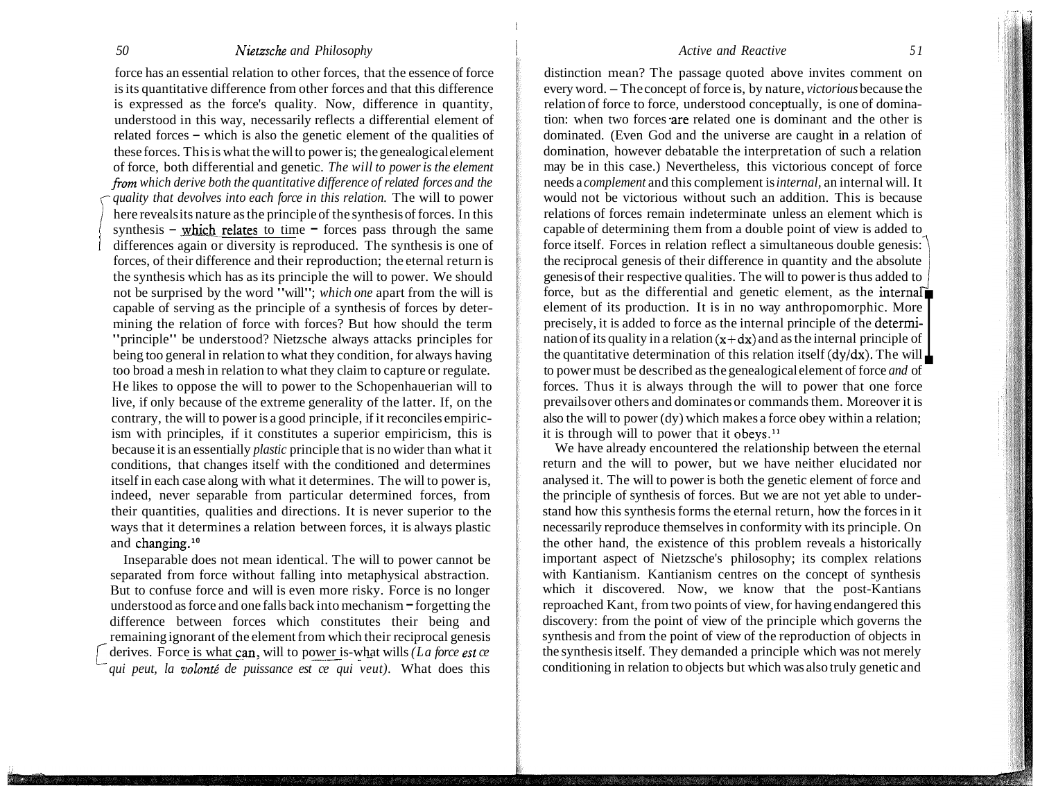#### *50 Nietzsche and Philosophy* 1 *Active and Reactive 5 1*

j

force has an essential relation to other forces, that the essence of force is its quantitative difference from other forces and that this difference is expressed as the force's quality. Now, difference in quantity, understood in this way, necessarily reflects a differential element of related forces - which is also the genetic element of the qualities of these forces. This is what the will to power is; the genealogical element of force, both differential and genetic. *The will to power is the element from which derive both the quantitative difference of related forces and the*  $\alpha$  *quality that devolves into each force in this relation.* The will to power quality that devolves into each force in this relation. The will to power<br>here reveals its nature as the principle of the synthesis of forces. In this<br>synthesis – which relates to time – forces pass through the same here reveals its nature as the principle of the synthesis of forces. In this synthesis  $-$  which relates to time  $-$  forces pass through the same differences again or diversity is reproduced. The synthesis is one of forces, of their difference and their reproduction; the eternal return is the synthesis which has as its principle the will to power. We should not be surprised by the word "will"; *which one* apart from the will is capable of serving as the principle of a synthesis of forces by determining the relation of force with forces? But how should the term "principle" be understood? Nietzsche always attacks principles for being too general in relation to what they condition, for always having too broad a mesh in relation to what they claim to capture or regulate. He likes to oppose the will to power to the Schopenhauerian will to live, if only because of the extreme generality of the latter. If, on the contrary, the will to power is a good principle, if it reconciles empiricism with principles, if it constitutes a superior empiricism, this is because it is an essentially *plastic* principle that is no wider than what it conditions, that changes itself with the conditioned and determines itself in each case along with what it determines. The will to power is, indeed, never separable from particular determined forces, from their quantities, qualities and directions. It is never superior to the ways that it determines a relation between forces, it is always plastic and changing.1°

Inseparable does not mean identical. The will to power cannot be separated from force without falling into metaphysical abstraction. But to confuse force and will is even more risky. Force is no longer understood as force and one falls back into mechanism  $\blacksquare$  forgetting the difference between forces which constitutes their being and remaining ignorant of the element from which their reciprocal genesis derives. Force is what can, will to power is-what wills *(La force est ce qui peut, la volonté de puissance est ce qui veut).* What does this

distinction mean? The passage quoted above invites comment on every word. -The concept of force is, by nature, *victorious* because the relation of force to force, understood conceptually, is one of domination: when two forces are related one is dominant and the other is dominated. (Even God and the universe are caught in a relation of domination, however debatable the interpretation of such a relation may be in this case.) Nevertheless, this victorious concept of force needs a *complement* and this complement is *internal,* an internal will. It would not be victorious without such an addition. This is because relations of forces remain indeterminate unless an element which is capable of determining them from a double point of view is added to force itself. Forces in relation reflect a simultaneous double genesis: the reciprocal genesis of their difference in quantity and the absolute genesis of their respective qualities. The will to power is thus added to element of its production. It is in no way anthropomorphic. More precisely, it is added to force as the internal principle of the determiforce, but as the differential and genetic element, as the internalnation of its quality in a relation  $(x+dx)$  and as the internal principle of the quantitative determination of this relation itself  $(dy/dx)$ . The will  $\perp$ to power must be described as the genealogical element of force *and* of forces. Thus it is always through the will to power that one force prevails over others and dominates or commands them. Moreover it is also the will to power (dy) which makes a force obey within a relation; it is through will to power that it obeys.<sup>11</sup>

We have already encountered the relationship between the eternal return and the will to power, but we have neither elucidated nor analysed it. The will to power is both the genetic element of force and the principle of synthesis of forces. But we are not yet able to understand how this synthesis forms the eternal return, how the forces in it necessarily reproduce themselves in conformity with its principle. On the other hand, the existence of this problem reveals a historically important aspect of Nietzsche's philosophy; its complex relations with Kantianism. Kantianism centres on the concept of synthesis which it discovered. Now, we know that the post-Kantians reproached Kant, from two points of view, for having endangered this discovery: from the point of view of the principle which governs the synthesis and from the point of view of the reproduction of objects in the synthesis itself. They demanded a principle which was not merely conditioning in relation to objects but which was also truly genetic and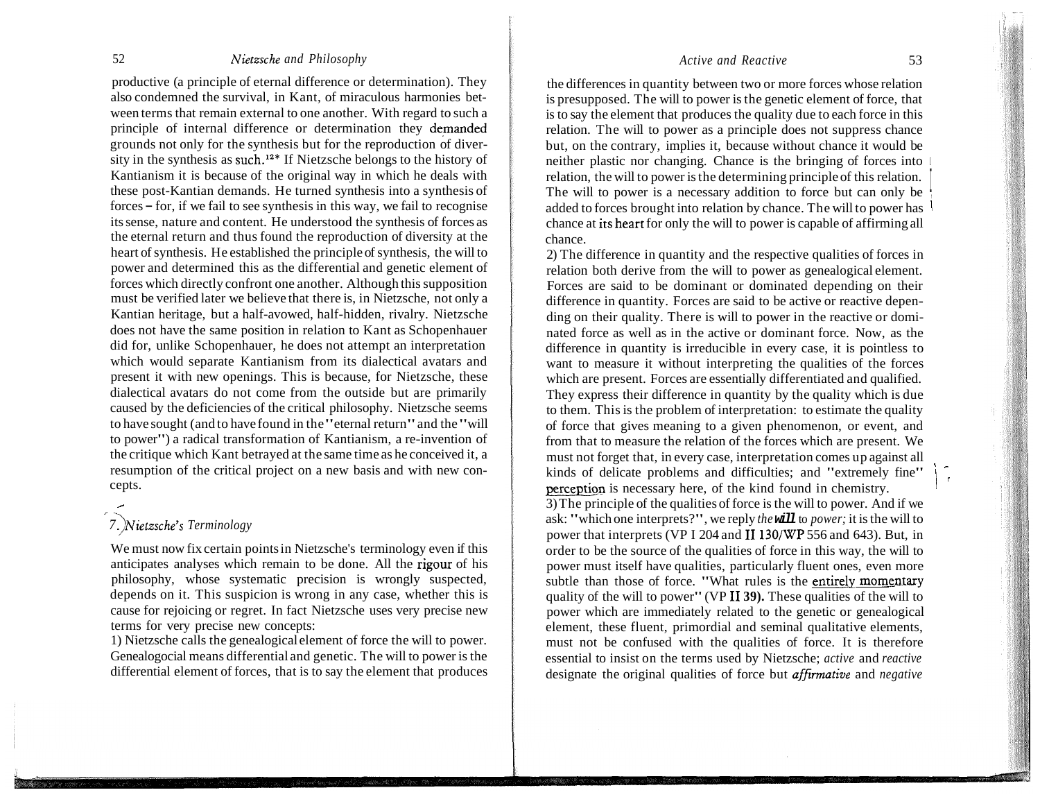### 52 *Nietzsche and Philosophy*

productive (a principle of eternal difference or determination). They also condemned the survival, in Kant, of miraculous harmonies between terms that remain external to one another. With regard to such a principle of internal difference or determination they demanded grounds not only for the synthesis but for the reproduction of diversity in the synthesis as such.<sup>12\*</sup> If Nietzsche belongs to the history of Kantianism it is because of the original way in which he deals with these post-Kantian demands. He turned synthesis into a synthesis of forces - for, if we fail to see synthesis in this way, we fail to recognise its sense, nature and content. He understood the synthesis of forces as the eternal return and thus found the reproduction of diversity at the heart of synthesis. He established the principle of synthesis, the will to power and determined this as the differential and genetic element of forces which directly confront one another. Although this supposition must be verified later we believe that there is, in Nietzsche, not only a Kantian heritage, but a half-avowed, half-hidden, rivalry. Nietzsche does not have the same position in relation to Kant as Schopenhauer did for, unlike Schopenhauer, he does not attempt an interpretation which would separate Kantianism from its dialectical avatars and present it with new openings. This is because, for Nietzsche, these dialectical avatars do not come from the outside but are primarily caused by the deficiencies of the critical philosophy. Nietzsche seems to have sought (and to have found in the "eternal return" and the "will to power") a radical transformation of Kantianism, a re-invention of the critique which Kant betrayed at the same time as he conceived it, a resumption of the critical project on a new basis and with new concepts. .--

# **J** -. *7 .,)~ietzsche's Terminology*

We must now fix certain points in Nietzsche's terminology even if this anticipates analyses which remain to be done. All the rigour of his philosophy, whose systematic precision is wrongly suspected, depends on it. This suspicion is wrong in any case, whether this is cause for rejoicing or regret. In fact Nietzsche uses very precise new terms for very precise new concepts:

1) Nietzsche calls the genealogical element of force the will to power. Genealogocial means differential and genetic. The will to power is the differential element of forces, that is to say the element that produces

the differences in quantity between two or more forces whose relation is presupposed. The will to power is the genetic element of force, that is to say the element that produces the quality due to each force in this relation. The will to power as a principle does not suppress chance but, on the contrary, implies it, because without chance it would be neither plastic nor changing. Chance is the bringing of forces into relation, the will to power is the determining principle of this relation. The will to power is a necessary addition to force but can only be added to forces brought into relation by chance. The will to power has chance at its heart for only the will to power is capable of affirming all chance.

2) The difference in quantity and the respective qualities of forces in relation both derive from the will to power as genealogical element. Forces are said to be dominant or dominated depending on their difference in quantity. Forces are said to be active or reactive depending on their quality. There is will to power in the reactive or dominated force as well as in the active or dominant force. Now, as the difference in quantity is irreducible in every case, it is pointless to want to measure it without interpreting the qualities of the forces which are present. Forces are essentially differentiated and qualified. They express their difference in quantity by the quality which is due to them. This is the problem of interpretation: to estimate the quality of force that gives meaning to a given phenomenon, or event, and from that to measure the relation of the forces which are present. We must not forget that, in every case, interpretation comes up against all kinds of delicate problems and difficulties; and "extremely fine" perception is necessary here, of the kind found in chemistry. 3) The principle of the qualities of force is the will to power. And if we ask: "which one interprets?", we reply *the* **will** to *power;* it is the will to power that interprets (VP I 204 and I1 130/WP 556 and 643). But, in order to be the source of the qualities of force in this way, the will to power must itself have qualities, particularly fluent ones, even more subtle than those of force. "What rules is the entirely momentary quality of the will to power" (VP I1 **39).** These qualities of the will to power which are immediately related to the genetic or genealogical element, these fluent, primordial and seminal qualitative elements, must not be confused with the qualities of force. It is therefore essential to insist on the terms used by Nietzsche; *active* and *reactive*  designate the original qualities of force but *affirmative* and *negative*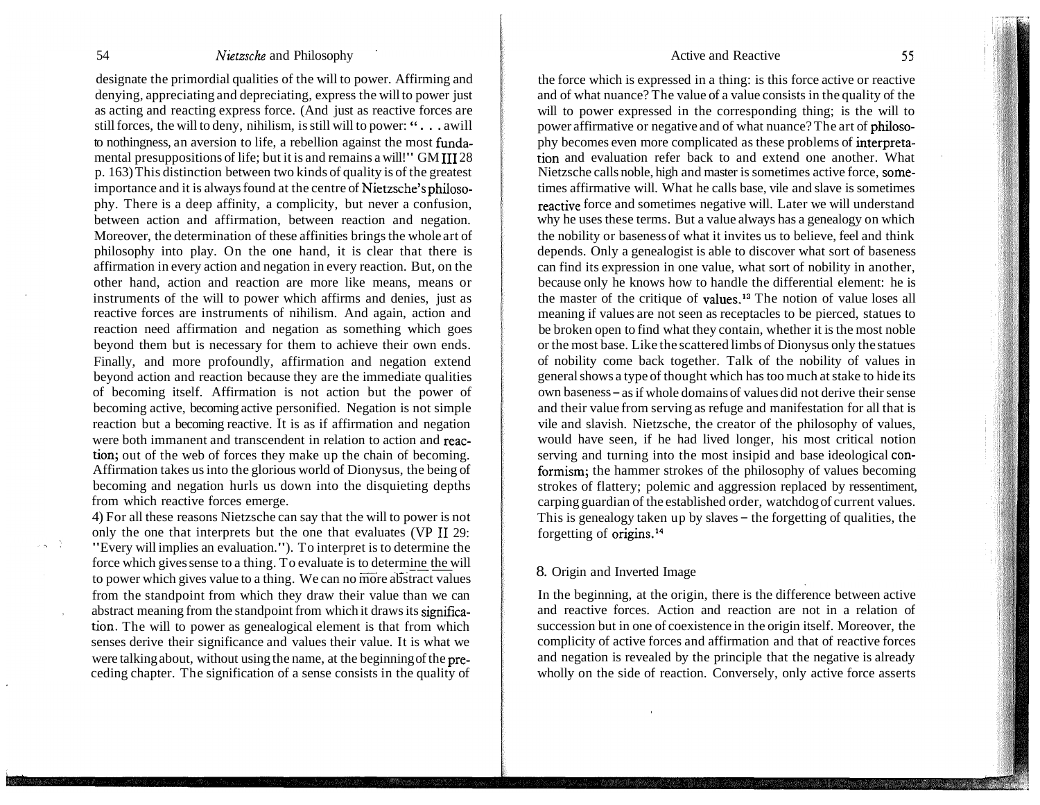#### 54 Nietzsche and Philosophy **Active and Reactive** Active and Reactive and Reactive

designate the primordial qualities of the will to power. Affirming and the force which is expressed in a thing: is this force active or reactive denying, appreciating and depreciating, express the will to power just and of denying, appreciating and depreciating, express the will to power just and of what nuance? The value of a value consists in the quality of the as acting and reacting express force. (And just as reactive forces are will to as acting and reacting express force. (And just as reactive forces are will to power expressed in the corresponding thing; is the will to still forces, the will to deny, nihilism, is still will to power: ", , , awill so po still forces, the will to deny, nihilism, is still will to power: "...awill power affirmative or negative and of what nuance? The art of philosoto nothingness, an aversion to life, a rebellion against the most funda-<br>bly b to nothingness, an aversion to life, a rebellion against the most funda-<br>mental presuppositions of life; but it is and remains a will!" GM III 28 to and evaluation refer back to and extend one another. What mental presuppositions of life; but it is and remains a will!" GM III 28 tion and evaluation refer back to and extend one another. What p. 163) This distinction between two kinds of quality is of the greatest Nietzsche cal importance and it is always found at the centre of Nietzsche's philosophy. There is a deep affinity, a complicity, but never a confusion,<br>between action and affirmation, between reaction and negation.<br>why he uses these terms. But a value always has a genealogy on which Moreover, the determination of these affinities brings the whole art of the nobility or baseness of what it invites us to believe, feel and think philosophy into play. On the one hand, it is clear that there is depends. On philosophy into play. On the one hand, it is clear that there is depends. Only a genealogist is able to discover what sort of baseness affirmation in every action and negation in every reaction. But, on the can find its ex affirmation in every action and negation in every reaction. But, on the can find its expression in one value, what sort of nobility in another, other hand, action and reaction are more like means, means or because only he other hand, action and reaction are more like means, means or because only he knows how to handle the differential element: he is<br>instruments of the will to power which affirms and denies, just as the master of the critiqu instruments of the will to power which affirms and denies, just as the master of the critique of values.<sup>13</sup> The notion of value loses all reactive forces are instruments of nihilism. And again, action and meaning if value reactive forces are instruments of nihilism. And again, action and meaning if values are not seen as receptacles to be pierced, statues to reaction need affirmation and negation as something which goes be broken open to fi reaction need affirmation and negation as something which goes be broken open to find what they contain, whether it is the most noble<br>beyond them but is necessary for them to achieve their own ends.<br>or the most base. Like Finally, and more profoundly, affirmation and negation extend beyond action and reaction because they are the immediate qualities energy of nobility come back together. Talk of the nobility of values in general shows a typ beyond action and reaction because they are the immediate qualities of becoming itself. Affirmation is not action but the power of of becoming itself. Affirmation is not action but the power of own baseness - as if whole domains of values did not derive their sense<br>becoming active, becoming active personified. Negation is not simple and their value fr becoming active, becoming active personified. Negation is not simple and their value from serving as refuge and manifestation for all that is reaction but a becoming reactive. It is as if affirmation and negation wile and reaction but a becoming reactive. It is as if affirmation and negation vile and slavish. Nietzsche, the creator of the philosophy of values, were both immanent and transcendent in relation to action and reac-<br>would have se tion; out of the web of forces they make up the chain of becoming.<br>Affirmation takes us into the glorious world of Dionysus, the being of formism; the hammer strokes of the philosophy of values becoming Affirmation takes us into the glorious world of Dionysus, the being of formism; the hammer strokes of the philosophy of values becoming becoming and negation hurls us down into the disquieting depths strokes of flattery; p becoming and negation hurls us down into the disquieting depths strokes of flattery; polemic and aggression replaced by ressentiment,<br>strokes of flattery; polemic and aggression replaced by ressentiment,<br>carping guardian o

only the one that interprets but the one that evaluates (VP II 29: "Every will implies an evaluation."). To interpret is to determine the force which gives sense to a thing. To evaluate is to determine the will<br>to power which gives value to a thing. We can no more abstract values<br>from the standpoint from which they draw their value than we can<br>In the beginni abstract meaning from the standpoint from which it draws its signification. The will to power as genealogical element is that from which succession but in one of coexistence in the origin itself. Moreover, the senses derive their significance and values their value. It is what we complicity were talking about, without using the name, at the beginning of the pre-<br>ceding chapter. The signification of a sense consists in the quality of

Nietzsche calls noble, high and master is sometimes active force, sometimes affirmative will. What he calls base, vile and slave is sometimes why he uses these terms. But a value always has a genealogy on which or the most base. Like the scattered limbs of Dionysus only the statues would have seen, if he had lived longer, his most critical notion carping guardian of the established order, watchdog of current values. 4) For all these reasons Nietzsche can say that the will to power is not<br>only the one that interprets but the one that evaluates (VP II 29:<br>forgetting of origins.<sup>14</sup>

In the beginning, at the origin, there is the difference between active and reactive forces. Action and reaction are not in a relation of complicity of active forces and affirmation and that of reactive forces and negation is revealed by the principle that the negative is already wholly on the side of reaction. Conversely, only active force asserts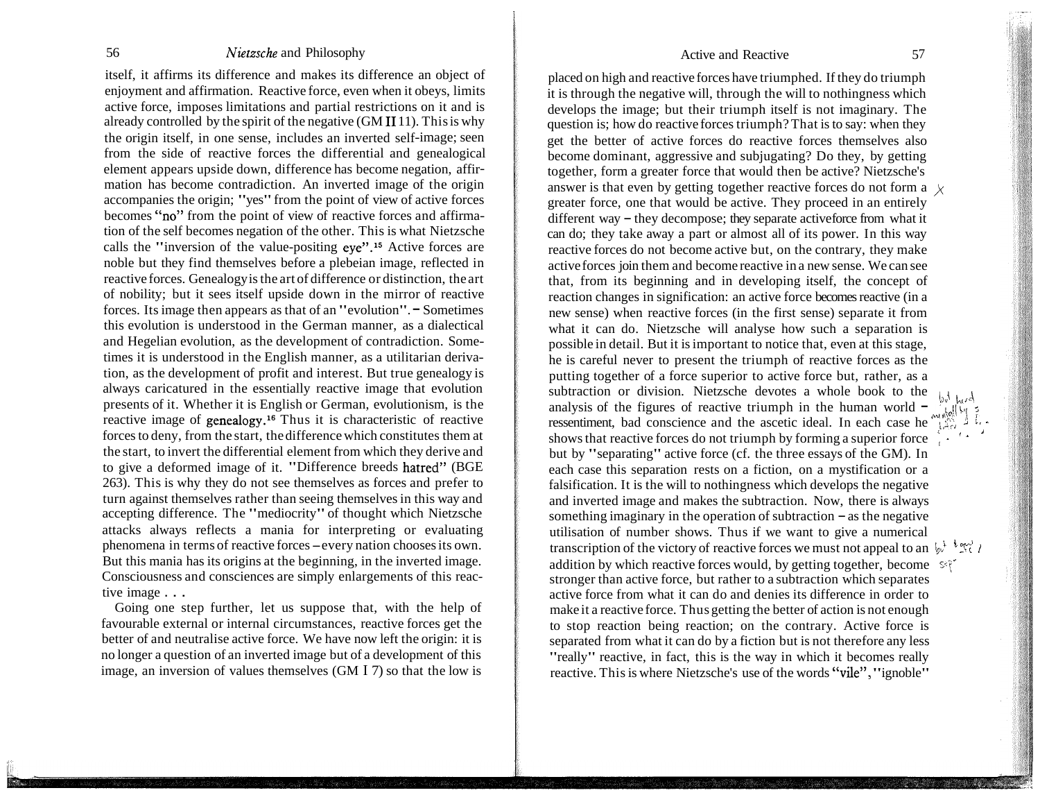## 56 Nietzsche and Philosophy

itself, it affirms its difference and makes its difference an object of enjoyment and affirmation. Reactive force, even when it obeys, limits active force, imposes limitations and partial restrictions on it and is already controlled by the spirit of the negative (GM I1 11). This is why the origin itself, in one sense, includes an inverted self-image; seen from the side of reactive forces the differential and genealogical element appears upside down, difference has become negation, affirmation has become contradiction. An inverted image of the origin accompanies the origin; "yes" from the point of view of active forces becomes "no" from the point of view of reactive forces and affirmation of the self becomes negation of the other. This is what Nietzsche calls the "inversion of the value-positing eye".15 Active forces are noble but they find themselves before a plebeian image, reflected in reactive forces. Genealogy is the art of difference or distinction, the art of nobility; but it sees itself upside down in the mirror of reactive forces. Its image then appears as that of an "evolution".  $\equiv$  Sometimes this evolution is understood in the German manner, as a dialectical and Hegelian evolution, as the development of contradiction. Sometimes it is understood in the English manner, as a utilitarian derivation, as the development of profit and interest. But true genealogy is always caricatured in the essentially reactive image that evolution presents of it. Whether it is English or German, evolutionism, is the reactive image of genealogy.16 Thus it is characteristic of reactive forces to deny, from the start, the difference which constitutes them at the start, to invert the differential element from which they derive and to give a deformed image of it. "Difference breeds hatred" (BGE 263). This is why they do not see themselves as forces and prefer to turn against themselves rather than seeing themselves in this way and accepting difference. The "mediocrity" of thought which Nietzsche attacks always reflects a mania for interpreting or evaluating phenomena in terms of reactive forces -every nation chooses its own. But this mania has its origins at the beginning, in the inverted image. Consciousness and consciences are simply enlargements of this reactive image . . .

Going one step further, let us suppose that, with the help of favourable external or internal circumstances, reactive forces get the better of and neutralise active force. We have now left the origin: it is no longer a question of an inverted image but of a development of this image, an inversion of values themselves (GM I 7) so that the low is

placed on high and reactive forces have triumphed. If they do triumph it is through the negative will, through the will to nothingness which develops the image; but their triumph itself is not imaginary. The question is; how do reactive forces triumph? That is to say: when they get the better of active forces do reactive forces themselves also become dominant, aggressive and subjugating? Do they, by getting together, form a greater force that would then be active? Nietzsche's answer is that even by getting together reactive forces do not form a  $\chi$ greater force, one that would be active. They proceed in an entirely different way – they decompose; they separate active force from what it can do; they take away a part or almost all of its power. In this way reactive forces do not become active but, on the contrary, they make active forces join them and become reactive in a new sense. We can see that, from its beginning and in developing itself, the concept of reaction changes in signification: an active force becomes reactive (in a new sense) when reactive forces (in the first sense) separate it from what it can do. Nietzsche will analyse how such a separation is possible in detail. But it is important to notice that, even at this stage, he is careful never to present the triumph of reactive forces as the putting together of a force superior to active force but, rather, as a subtraction or division. Nietzsche devotes a whole book to the analysis of the figures of reactive triumph in the human world  $\blacksquare$ ressentiment, bad conscience and the ascetic ideal. In each case he shows that reactive forces do not triumph by forming a superior force but by "separating" active force (cf. the three essays of the GM). In each case this separation rests on a fiction, on a mystification or a falsification. It is the will to nothingness which develops the negative and inverted image and makes the subtraction. Now, there is always something imaginary in the operation of subtraction  $-\infty$  the negative utilisation of number shows. Thus if we want to give a numerical transcription of the victory of reactive forces we must not appeal to an  $\psi^*$  is  $\chi^2$ addition by which reactive forces would, by getting together, become  $S\hat{\mathcal{C}}$ stronger than active force, but rather to a subtraction which separates active force from what it can do and denies its difference in order to make it a reactive force. Thus getting the better of action is not enough to stop reaction being reaction; on the contrary. Active force is separated from what it can do by a fiction but is not therefore any less "really" reactive, in fact, this is the way in which it becomes really reactive. This is where Nietzsche's use of the words "vile", "ignoble"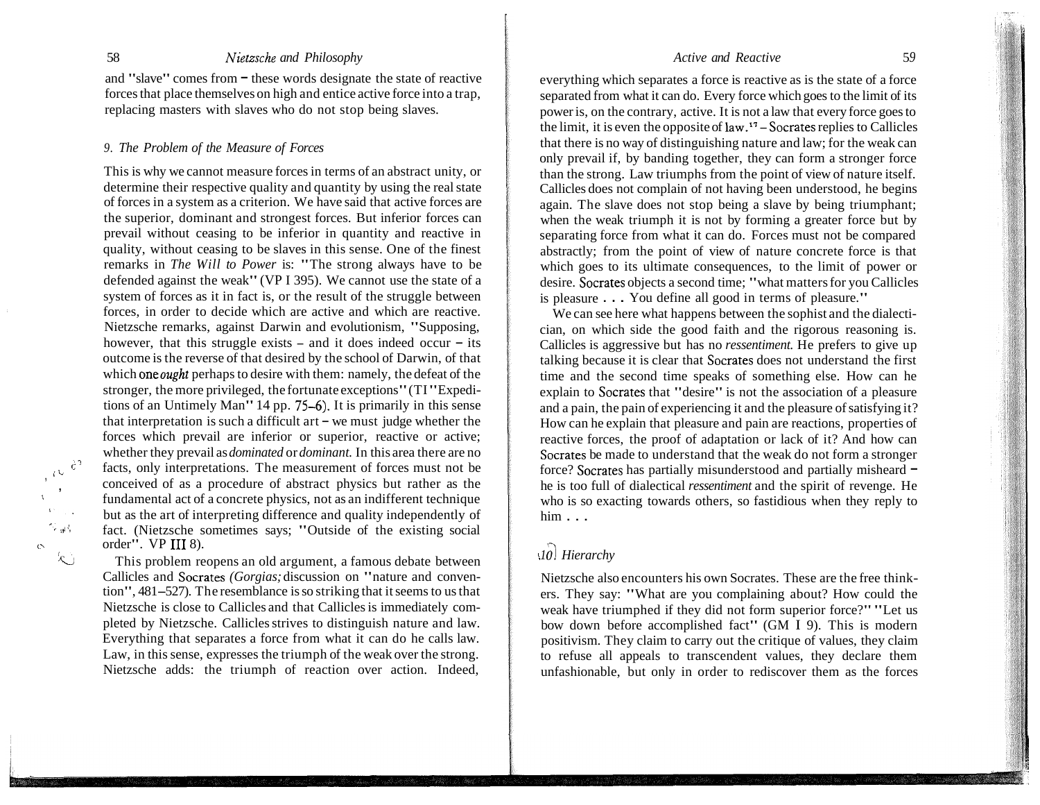#### 58 *Nietzsche and Philosophy*

and "slave" comes from  $=$  these words designate the state of reactive forces that place themselves on high and entice active force into a trap, replacing masters with slaves who do not stop being slaves.

#### *9. The Problem of the Measure of Forces*

 $\sim$ 

This is why we cannot measure forces in terms of an abstract unity, or determine their respective quality and quantity by using the real state of forces in a system as a criterion. We have said that active forces are the superior, dominant and strongest forces. But inferior forces can prevail without ceasing to be inferior in quantity and reactive in quality, without ceasing to be slaves in this sense. One of the finest remarks in *The Will to Power* is: "The strong always have to be defended against the weak" (VP I 395). We cannot use the state of a system of forces as it in fact is, or the result of the struggle between forces, in order to decide which are active and which are reactive. Nietzsche remarks, against Darwin and evolutionism, "Supposing, however, that this struggle exists  $-$  and it does indeed occur  $-$  its outcome is the reverse of that desired by the school of Darwin, of that which one *ought* perhaps to desire with them: namely, the defeat of the stronger, the more privileged, the fortunate exceptions" (TI "Expeditions of an Untimely Man" 14 pp. 75-6). It is primarily in this sense that interpretation is such a difficult art  $-$  we must judge whether the forces which prevail are inferior or superior, reactive or active; whether they prevail as *dominated* or *dominant.* In this area there are no facts, only interpretations. The measurement of forces must not be conceived of as a procedure of abstract physics but rather as the fundamental act of a concrete physics, not as an indifferent technique but as the art of interpreting difference and quality independently of  $\mathcal{L}_{\mathcal{F}}$  and  $\mathcal{L}_{\mathcal{F}}$  and  $\mathcal{L}_{\mathcal{F}}$  and  $\mathcal{L}_{\mathcal{F}}$  and  $\mathcal{L}_{\mathcal{F}}$  and  $\mathcal{L}_{\mathcal{F}}$  and  $\mathcal{L}_{\mathcal{F}}$  and  $\mathcal{L}_{\mathcal{F}}$  an fact. (Nietzsche sometimes says; "Outside of the existing social  $\infty$  order". VP III 8).<br> $\infty$  This problem re

This problem reopens an old argument, a famous debate between Callicles and Socrates *(Gorgias;* discussion on "nature and convention", 481-527). The resemblance is so striking that it seems to us that Nietzsche is close to Callicles and that Callicles is immediately completed by Nietzsche. Callicles strives to distinguish nature and law. Everything that separates a force from what it can do he calls law. Law, in this sense, expresses the triumph of the weak over the strong. Nietzsche adds: the triumph of reaction over action. Indeed,

everything which separates a force is reactive as is the state of a force separated from what it can do. Every force which goes to the limit of its power is, on the contrary, active. It is not a law that every force goes to the limit, it is even the opposite of law.<sup>17</sup> – Socrates replies to Callicles that there is no way of distinguishing nature and law; for the weak can only prevail if, by banding together, they can form a stronger force than the strong. Law triumphs from the point of view of nature itself. Callicles does not complain of not having been understood, he begins again. The slave does not stop being a slave by being triumphant; when the weak triumph it is not by forming a greater force but by separating force from what it can do. Forces must not be compared abstractly; from the point of view of nature concrete force is that which goes to its ultimate consequences, to the limit of power or desire. Socrates objects a second time; "what matters for you Callicles is pleasure . . . You define all good in terms of pleasure."

We can see here what happens between the sophist and the dialectician, on which side the good faith and the rigorous reasoning is. Callicles is aggressive but has no *ressentiment.* He prefers to give up talking because it is clear that Socrates does not understand the first time and the second time speaks of something else. How can he explain to Socrates that "desire" is not the association of a pleasure and a pain, the pain of experiencing it and the pleasure of satisfying it? How can he explain that pleasure and pain are reactions, properties of reactive forces, the proof of adaptation or lack of it? And how can Socrates be made to understand that the weak do not form a stronger force? Socrates has partially misunderstood and partially misheard  $\blacksquare$ he is too full of dialectical *ressentiment* and the spirit of revenge. He who is so exacting towards others, so fastidious when they reply to him . . .

## *10 Hierarchy*

Nietzsche also encounters his own Socrates. These are the free thinkers. They say: "What are you complaining about? How could the weak have triumphed if they did not form superior force?" "Let us bow down before accomplished fact" (GM I 9). This is modern positivism. They claim to carry out the critique of values, they claim to refuse all appeals to transcendent values, they declare them unfashionable, but only in order to rediscover them as the forces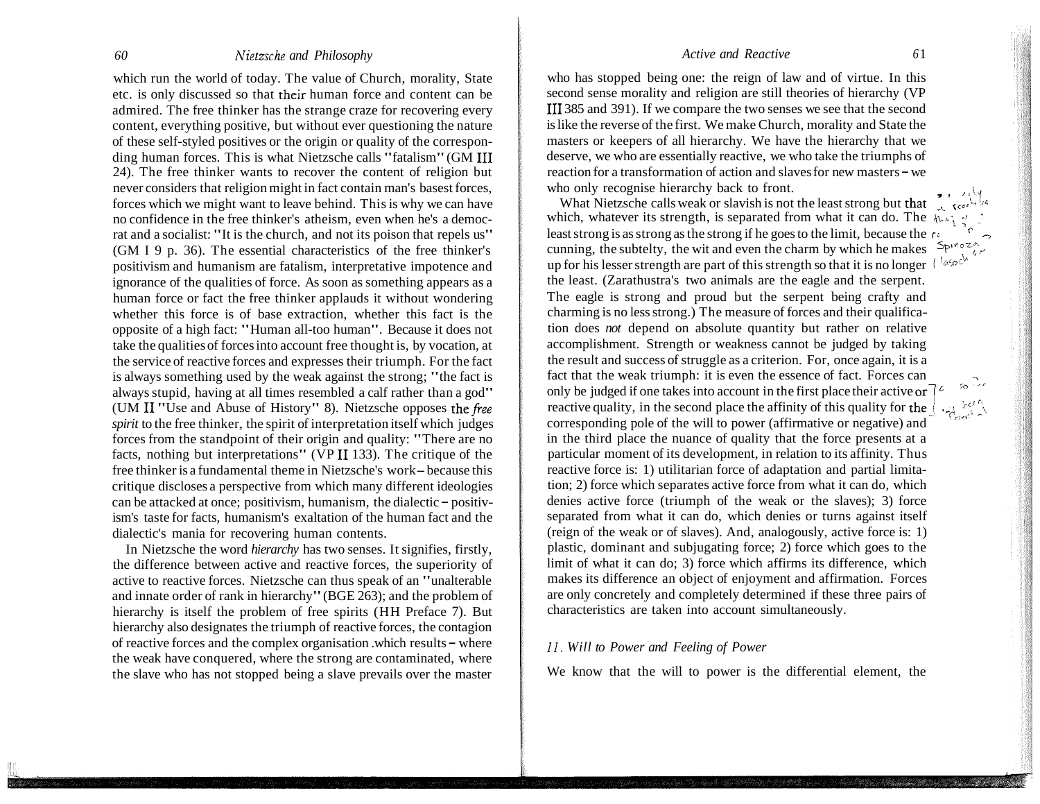#### *60 Nietzsche and Philosophy*

which run the world of today. The value of Church, morality, State etc. is only discussed so that their human force and content can be admired. The free thinker has the strange craze for recovering every content, everything positive, but without ever questioning the nature of these self-styled positives or the origin or quality of the corresponding human forces. This is what Nietzsche calls "fatalism" (GM III 24). The free thinker wants to recover the content of religion but never considers that religion might in fact contain man's basest forces, forces which we might want to leave behind. This is why we can have no confidence in the free thinker's atheism, even when he's a democrat and a socialist: "It is the church, and not its poison that repels us" (GM I 9 p. 36). The essential characteristics of the free thinker's positivism and humanism are fatalism, interpretative impotence and ignorance of the qualities of force. As soon as something appears as a human force or fact the free thinker applauds it without wondering whether this force is of base extraction, whether this fact is the opposite of a high fact: "Human all-too human". Because it does not take the qualities of forces into account free thought is, by vocation, at the service of reactive forces and expresses their triumph. For the fact is always something used by the weak against the strong; "the fact is always stupid, having at all times resembled a calf rather than a god" (UM II "Use and Abuse of History" 8). Nietzsche opposes the free *spirit* to the free thinker, the spirit of interpretation itself which judges forces from the standpoint of their origin and quality: "There are no facts, nothing but interpretations" (VP I1 133). The critique of the free thinker is a fundamental theme in Nietzsche's work- because this critique discloses a perspective from which many different ideologies can be attacked at once; positivism, humanism, the dialectic – positivism's taste for facts, humanism's exaltation of the human fact and the dialectic's mania for recovering human contents.

In Nietzsche the word *hierarchy* has two senses. It signifies, firstly, the difference between active and reactive forces, the superiority of active to reactive forces. Nietzsche can thus speak of an "unalterable and innate order of rank in hierarchy" (BGE 263); and the problem of hierarchy is itself the problem of free spirits (HH Preface 7). But hierarchy also designates the triumph of reactive forces, the contagion of reactive forces and the complex organisation .which results – where the weak have conquered, where the strong are contaminated, where the slave who has not stopped being a slave prevails over the master

who has stopped being one: the reign of law and of virtue. In this second sense morality and religion are still theories of hierarchy (VP I11 385 and 391). If we compare the two senses we see that the second is like the reverse of the first. We make Church, morality and State the masters or keepers of all hierarchy. We have the hierarchy that we deserve, we who are essentially reactive, we who take the triumphs of reaction for a transformation of action and slaves for new masters – we who only recognise hierarchy back to front. who only recognise hierarchy back to front.<br>What Nietzsche calls weak or slavish is not the least strong but that  $\frac{1}{2}$ ,  $\frac{1}{3}$ 

which, whatever its strength, is separated from what it can do. The  $\forall x, \forall y$ least strong is as strong as the strong if he goes to the limit, because the  $f_1$  or  $\frac{1}{2}$  cunning, the subtelty, the wit and even the charm by which he makes  $\frac{5}{2}$   $\frac{1}{2}$ cunning, the subtelty, the wit and even the charm by which he makes up for his lesser strength are part of this strength so that it is no longer  $\int_{0}^{1} \cos^{2} x$ the least. (Zarathustra's two animals are the eagle and the serpent. The eagle is strong and proud but the serpent being crafty and charming is no less strong.) The measure of forces and their qualification does *not* depend on absolute quantity but rather on relative accomplishment. Strength or weakness cannot be judged by taking the result and success of struggle as a criterion. For, once again, it is a fact that the weak triumph: it is even the essence of fact. Forces can only be judged if one takes into account in the first place their active or reactive quality, in the second place the affinity of this quality for the  $\langle$ corresponding pole of the will to power (affirmative or negative) and in the third place the nuance of quality that the force presents at a particular moment of its development, in relation to its affinity. Thus reactive force is: 1) utilitarian force of adaptation and partial limitation; 2) force which separates active force from what it can do, which denies active force (triumph of the weak or the slaves); 3) force separated from what it can do, which denies or turns against itself (reign of the weak or of slaves). And, analogously, active force is: 1) plastic, dominant and subjugating force; 2) force which goes to the limit of what it can do; 3) force which affirms its difference, which makes its difference an object of enjoyment and affirmation. Forces are only concretely and completely determined if these three pairs of characteristics are taken into account simultaneously.

#### 11. *Will to Power and Feeling of Power*

We know that the will to power is the differential element, the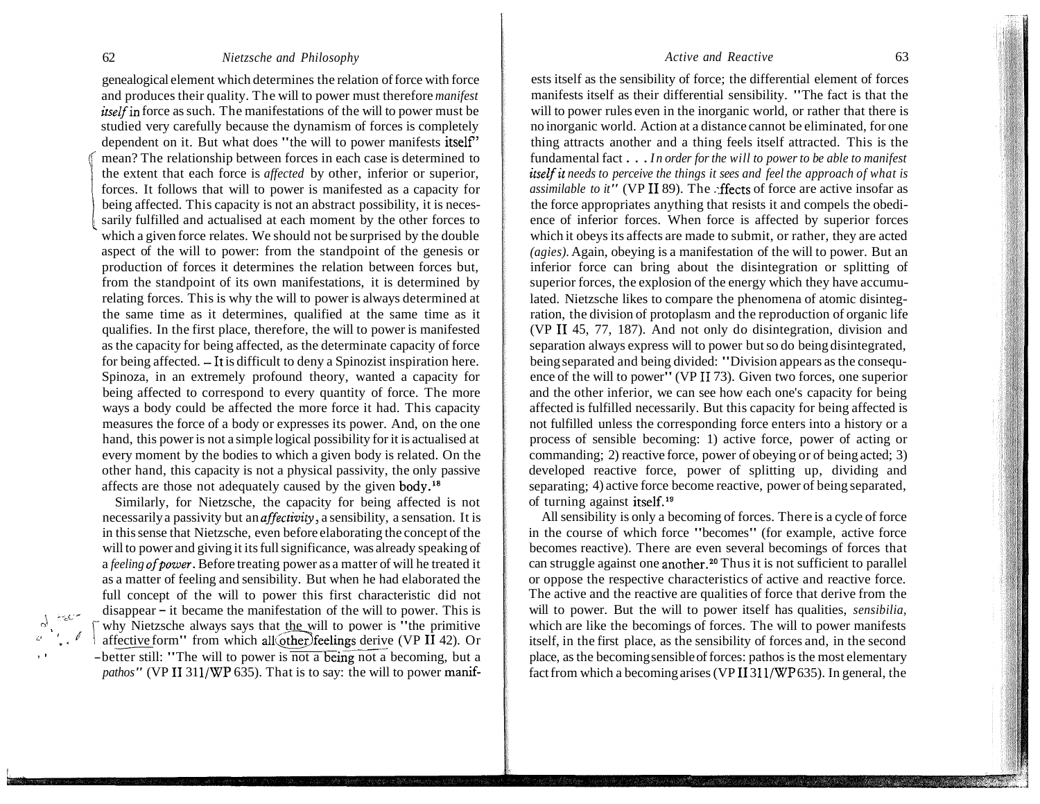#### 62 *Nietzsche and Philosophy*

genealogical element which determines the relation of force with force and produces their quality. The will to power must therefore *manifest itself* in force as such. The manifestations of the will to power must be studied very carefully because the dynamism of forces is completely dependent on it. But what does "the will to power manifests itself" mean? The relationship between forces in each case is determined to the extent that each force is *affected* by other, inferior or superior, forces. It follows that will to power is manifested as a capacity for being affected. This capacity is not an abstract possibility, it is necessarily fulfilled and actualised at each moment by the other forces to which a given force relates. We should not be surprised by the double aspect of the will to power: from the standpoint of the genesis or production of forces it determines the relation between forces but, from the standpoint of its own manifestations, it is determined by relating forces. This is why the will to power is always determined at the same time as it determines, qualified at the same time as it qualifies. In the first place, therefore, the will to power is manifested as the capacity for being affected, as the determinate capacity of force for being affected. -It is difficult to deny a Spinozist inspiration here. Spinoza, in an extremely profound theory, wanted a capacity for being affected to correspond to every quantity of force. The more ways a body could be affected the more force it had. This capacity measures the force of a body or expresses its power. And, on the one hand, this power is not a simple logical possibility for it is actualised at every moment by the bodies to which a given body is related. On the other hand, this capacity is not a physical passivity, the only passive affects are those not adequately caused by the given body.'8

Similarly, for Nietzsche, the capacity for being affected is not necessarily a passivity but an *affectivity,* a sensibility, a sensation. It is in this sense that Nietzsche, even before elaborating the concept of the will to power and giving it its full significance, was already speaking of a *feeling of power*. Before treating power as a matter of will he treated it as a matter of feeling and sensibility. But when he had elaborated the full concept of the will to power this first characteristic did not as a matter of feeling and sensibility. But when he had elaborated the<br>full concept of the will to power this first characteristic did not<br>disappear – it became the manifestation of the will to power. This is<br> $\begin{bmatrix} 1 \\ 2$ disappear – it became the manifestation of the will to power. This is<br>  $\begin{bmatrix} \downarrow \\ \downarrow \end{bmatrix}, \begin{bmatrix} \downarrow \\ \downarrow \end{bmatrix}$  why Nietzsche always says that the will to power is "the primitive<br>  $\begin{bmatrix} \downarrow \\ \downarrow \end{bmatrix}, \begin{bmatrix} \downarrow \\ \downarrow \end{bmatrix}$  a affective form" from which all other feelings derive (VP II 42). Or –better still: "The will to power is not a being not a becoming, but a *pathos"* (VP II 311/WP 635). That is to say: the will to power manif-

ests itself as the sensibility of force; the differential element of forces manifests itself as their differential sensibility. "The fact is that the will to power rules even in the inorganic world, or rather that there is no inorganic world. Action at a distance cannot be eliminated, for one thing attracts another and a thing feels itself attracted. This is the fundamental fact . . . *In order for the will to power to be able to manifest itself it needs to perceive the things it sees and feel the approach of what is assimilable to it"* (VP II 89). The *ffects* of force are active insofar as the force appropriates anything that resists it and compels the obedience of inferior forces. When force is affected by superior forces which it obeys its affects are made to submit, or rather, they are acted *(agies).* Again, obeying is a manifestation of the will to power. But an inferior force can bring about the disintegration or splitting of superior forces, the explosion of the energy which they have accumulated. Nietzsche likes to compare the phenomena of atomic disintegration, the division of protoplasm and the reproduction of organic life (VP I1 45, 77, 187). And not only do disintegration, division and separation always express will to power but so do being disintegrated, being separated and being divided: "Division appears as the consequence of the will to power" (VP **I1** 73). Given two forces, one superior and the other inferior, we can see how each one's capacity for being affected is fulfilled necessarily. But this capacity for being affected is not fulfilled unless the corresponding force enters into a history or a process of sensible becoming: 1) active force, power of acting or commanding; 2) reactive force, power of obeying or of being acted; 3) developed reactive force, power of splitting up, dividing and separating; 4) active force become reactive, power of being separated, of turning against itself.<sup>19</sup>

All sensibility is only a becoming of forces. There is a cycle of force in the course of which force "becomes" (for example, active force becomes reactive). There are even several becomings of forces that can struggle against one another.<sup>20</sup> Thus it is not sufficient to parallel or oppose the respective characteristics of active and reactive force. The active and the reactive are qualities of force that derive from the will to power. But the will to power itself has qualities, *sensibilia,*  which are like the becomings of forces. The will to power manifests itself, in the first place, as the sensibility of forces and, in the second place, as the becoming sensible of forces: pathos is the most elementary fact from which a becoming arises (VP II  $311/WP635$ ). In general, the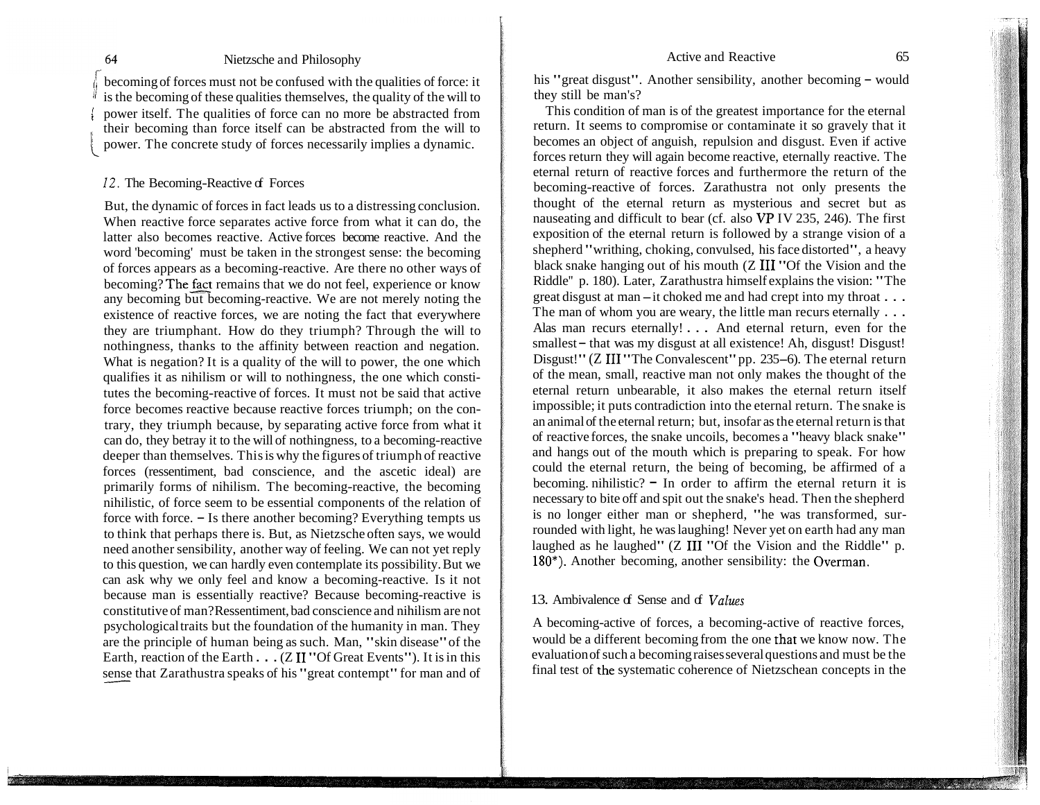#### Nietzsche and Philosophy

becoming of forces must not be confused with the qualities of force: it is the becoming of these qualities themselves, the quality of the will to power itself. The qualities of force can no more be abstracted from their becoming than force itself can be abstracted from the will to power. The concrete study of forces necessarily implies a dynamic.

#### 12. The Becoming-Reactive of Forces

64

But, the dynamic of forces in fact leads us to a distressing conclusion. When reactive force separates active force from what it can do, the latter also becomes reactive. Active forces become reactive. And the word 'becoming' must be taken in the strongest sense: the becoming of forces appears as a becoming-reactive. Are there no other ways of becoming? The fact remains that we do not feel, experience or know any becoming but becoming-reactive. We are not merely noting the existence of reactive forces, we are noting the fact that everywhere they are triumphant. How do they triumph? Through the will to nothingness, thanks to the affinity between reaction and negation. What is negation? It is a quality of the will to power, the one which qualifies it as nihilism or will to nothingness, the one which constitutes the becoming-reactive of forces. It must not be said that active force becomes reactive because reactive forces triumph; on the contrary, they triumph because, by separating active force from what it can do, they betray it to the will of nothingness, to a becoming-reactive deeper than themselves. This is why the figures of triumph of reactive forces (ressentiment, bad conscience, and the ascetic ideal) are primarily forms of nihilism. The becoming-reactive, the becoming nihilistic, of force seem to be essential components of the relation of force with force. - Is there another becoming? Everything tempts us to think that perhaps there is. But, as Nietzsche often says, we would need another sensibility, another way of feeling. We can not yet reply to this question, we can hardly even contemplate its possibility. But we can ask why we only feel and know a becoming-reactive. Is it not because man is essentially reactive? Because becoming-reactive is constitutive of man? Ressentiment, bad conscience and nihilism are not psychological traits but the foundation of the humanity in man. They are the principle of human being as such. Man, "skin disease" of the Earth, reaction of the Earth  $\ldots$  (Z II "Of Great Events"). It is in this sense that Zarathustra speaks of his "great contempt" for man and of

his "great disgust". Another sensibility, another becoming – would they still be man's?

This condition of man is of the greatest importance for the eternal return. It seems to compromise or contaminate it so gravely that it becomes an object of anguish, repulsion and disgust. Even if active forces return they will again become reactive, eternally reactive. The eternal return of reactive forces and furthermore the return of the becoming-reactive of forces. Zarathustra not only presents the thought of the eternal return as mysterious and secret but as nauseating and difficult to bear (cf. also VP IV 235, 246). The first exposition of the eternal return is followed by a strange vision of a shepherd "writhing, choking, convulsed, his face distorted", a heavy black snake hanging out of his mouth (Z I11 "Of the Vision and the Riddle'' p. 180). Later, Zarathustra himself explains the vision: "The great disgust at man -it choked me and had crept into my throat . . . The man of whom you are weary, the little man recurs eternally . . . Alas man recurs eternally!... And eternal return, even for the smallest - that was my disgust at all existence! Ah, disgust! Disgust! Disgust!" (Z III "The Convalescent" pp. 235–6). The eternal return of the mean, small, reactive man not only makes the thought of the eternal return unbearable, it also makes the eternal return itself impossible; it puts contradiction into the eternal return. The snake is an animal of the eternal return; but, insofar as the eternal return is that of reactive forces, the snake uncoils, becomes a "heavy black snake" and hangs out of the mouth which is preparing to speak. For how could the eternal return, the being of becoming, be affirmed of a becoming. nihilistic?  $=$  In order to affirm the eternal return it is necessary to bite off and spit out the snake's head. Then the shepherd is no longer either man or shepherd, "he was transformed, surrounded with light, he was laughing! Never yet on earth had any man laughed as he laughed" (Z III "Of the Vision and the Riddle" p. 180\*). Another becoming, another sensibility: the Overman.

#### 13. Ambivalence of Sense and of Values

A becoming-active of forces, a becoming-active of reactive forces, would be a different becoming from the one that we know now. The evaluation of such a becoming raises several questions and must be the final test of the systematic coherence of Nietzschean concepts in the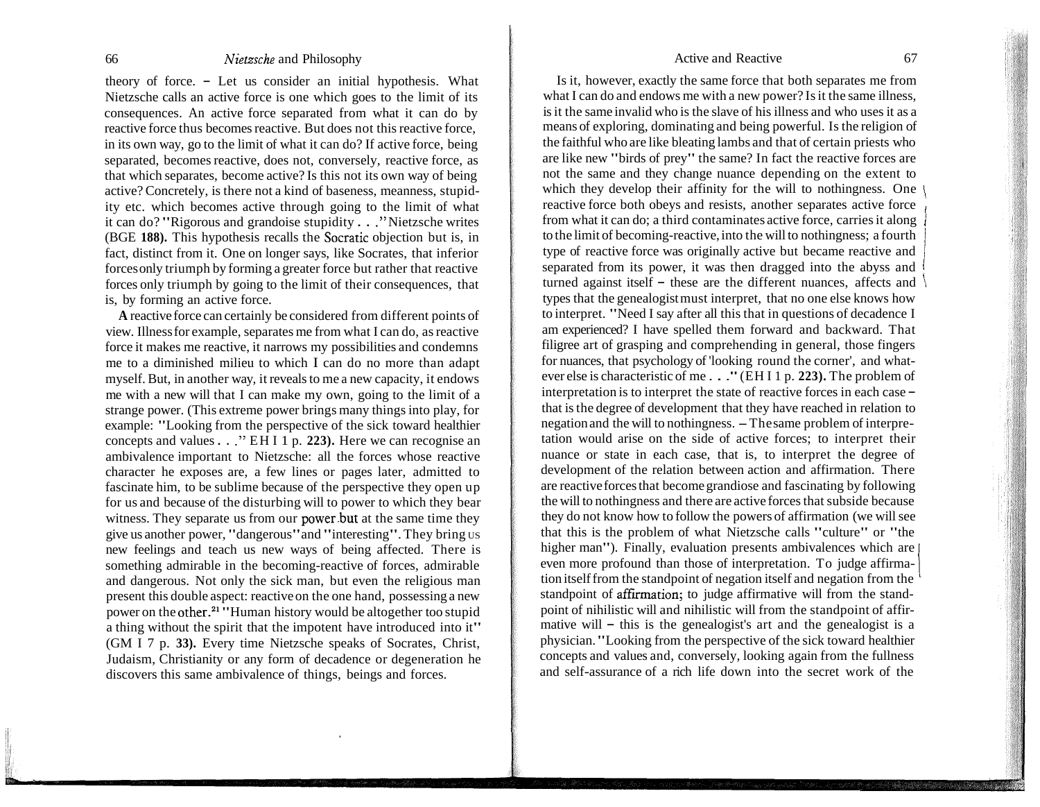#### 66 Nietzsche and Philosophy

theory of force. - Let us consider an initial hypothesis. What Nietzsche calls an active force is one which goes to the limit of its consequences. An active force separated from what it can do by reactive force thus becomes reactive. But does not this reactive force, in its own way, go to the limit of what it can do? If active force, being separated, becomes reactive, does not, conversely, reactive force, as that which separates, become active? Is this not its own way of being active? Concretely, is there not a kind of baseness, meanness, stupidity etc. which becomes active through going to the limit of what it can do? "Rigorous and grandoise stupidity . . ." Nietzsche writes (BGE **188).** This hypothesis recalls the Socratic objection but is, in fact, distinct from it. One on longer says, like Socrates, that inferior forces only triumph by forming a greater force but rather that reactive forces only triumph by going to the limit of their consequences, that is, by forming an active force.

**A** reactive force can certainly be considered from different points of view. Illness for example, separates me from what I can do, as reactive force it makes me reactive, it narrows my possibilities and condemns me to a diminished milieu to which I can do no more than adapt myself. But, in another way, it reveals to me a new capacity, it endows me with a new will that I can make my own, going to the limit of a strange power. (This extreme power brings many things into play, for example: "Looking from the perspective of the sick toward healthier concepts and values . . ." EH I 1 p. **223).** Here we can recognise an ambivalence important to Nietzsche: all the forces whose reactive character he exposes are, a few lines or pages later, admitted to fascinate him, to be sublime because of the perspective they open up for us and because of the disturbing will to power to which they bear witness. They separate us from our power but at the same time they give us another power, "dangerous" and "interesting". They bring US new feelings and teach us new ways of being affected. There is something admirable in the becoming-reactive of forces, admirable and dangerous. Not only the sick man, but even the religious man present this double aspect: reactive on the one hand, possessing a new power on the other.21 "Human history would be altogether too stupid a thing without the spirit that the impotent have introduced into it" (GM I 7 p. **33).** Every time Nietzsche speaks of Socrates, Christ, Judaism, Christianity or any form of decadence or degeneration he discovers this same ambivalence of things, beings and forces.

Is it, however, exactly the same force that both separates me from what I can do and endows me with a new power? Is it the same illness, is it the same invalid who is the slave of his illness and who uses it as a means of exploring, dominating and being powerful. Is the religion of the faithful who are like bleating lambs and that of certain priests who are like new "birds of prey" the same? In fact the reactive forces are not the same and they change nuance depending on the extent to which they develop their affinity for the will to nothingness. One reactive force both obeys and resists, another separates active force from what it can do; a third contaminates active force, carries it along I to the limit of becoming-reactive, into the will to nothingness; a fourth type of reactive force was originally active but became reactive and separated from its power, it was then dragged into the abyss and turned against itself – these are the different nuances, affects and types that the genealogist must interpret, that no one else knows how to interpret. "Need I say after all this that in questions of decadence I am experienced? I have spelled them forward and backward. That filigree art of grasping and comprehending in general, those fingers for nuances, that psychology of 'looking round the corner', and whatever else is characteristic of me . . ." (EH I 1 p. **223).** The problem of interpretation is to interpret the state of reactive forces in each case that is the degree of development that they have reached in relation to negation and the will to nothingness.  $-$  The same problem of interpretation would arise on the side of active forces; to interpret their nuance or state in each case, that is, to interpret the degree of development of the relation between action and affirmation. There are reactive forces that become grandiose and fascinating by following the will to nothingness and there are active forces that subside because they do not know how to follow the powers of affirmation (we will see that this is the problem of what Nietzsche calls "culture" or "the higher man"). Finally, evaluation presents ambivalences which are even more profound than those of interpretation. To judge affirmation itself from the standpoint of negation itself and negation from the standpoint of affirmation; to judge affirmative will from the stand- $\vert$ point of nihilistic will and nihilistic will from the standpoint of affirmative will  $-$  this is the genealogist's art and the genealogist is a physician. "Looking from the perspective of the sick toward healthier concepts and values and, conversely, looking again from the fullness and self-assurance of a rich life down into the secret work of the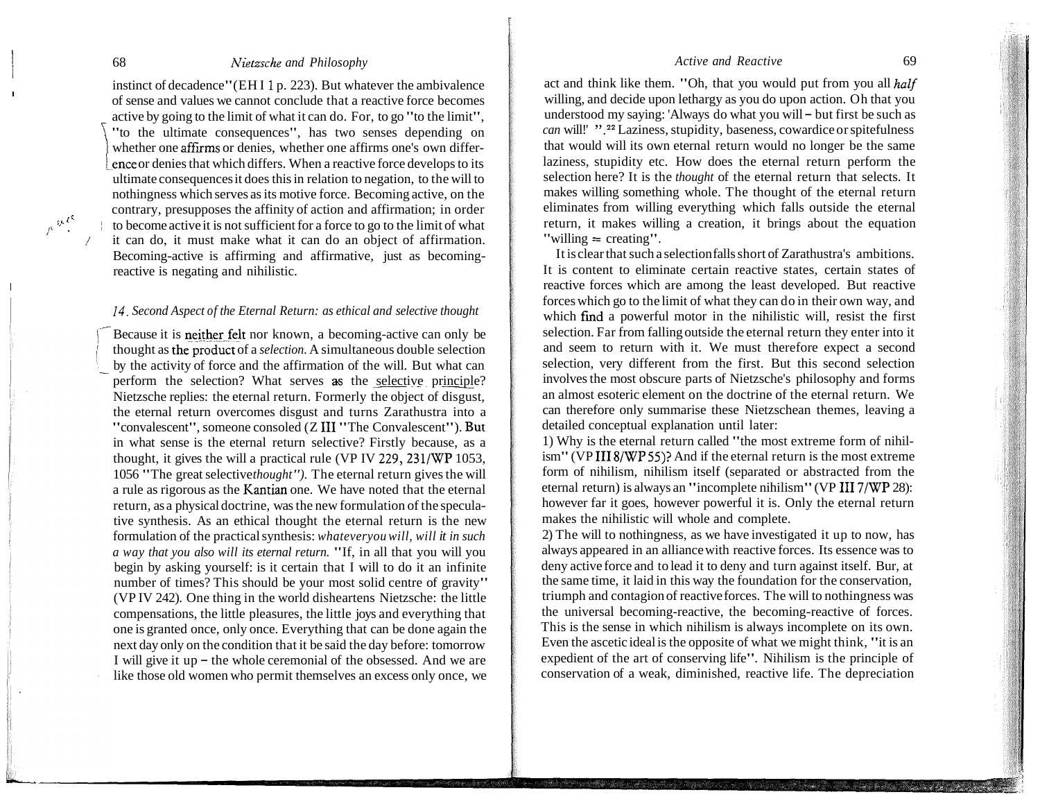#### <sup>I</sup>68 *Nietzsche and Philosophy* <sup>I</sup>

instinct of decadence" (EH I 1 p. 223). But whatever the ambivalence of sense and values we cannot conclude that a reactive force becomes active by going to the limit of what it can do. For, to go "to the limit", "to the ultimate consequences", has two senses depending on whether one affirms or denies, whether one affirms one's own differ-Lence or denies that which differs. When a reactive force develops to its ultimate consequences it does this in relation to negation, to the will to nothingness which serves as its motive force. Becoming active, on the contrary, presupposes the affinity of action and affirmation; in order  $\frac{1}{2}$  to become active it is not sufficient for a force to go to the limit of what it can do, it must make what it can do an object of affirmation. Becoming-active is affirming and affirmative, just as becomingreactive is negating and nihilistic.

#### 14. *Second Aspect of the Eternal Return: as ethical and selective thought*

Because it is neither felt nor known, a becoming-active can only be thought as the product of a *selection*. A simultaneous double selection by the activity of force and the affirmation of the will. But what can perform the selection? What serves as the selective principle? Nietzsche replies: the eternal return. Formerly the object of disgust, the eternal return overcomes disgust and turns Zarathustra into a "convalescent", someone consoled (Z I11 "The Convalescent"). But in what sense is the eternal return selective? Firstly because, as a thought, it gives the will a practical rule (VP IV  $229$ ,  $231/WP$  1053, 1056 "The great selective *thought").* The eternal return gives the will a rule as rigorous as the Kantian one. We have noted that the eternal return, as a physical doctrine, was the new formulation of the speculative synthesis. As an ethical thought the eternal return is the new formulation of the practical synthesis: *whateveryou will, will it in such a way that you also will its eternal return.* "If, in all that you will you begin by asking yourself: is it certain that I will to do it an infinite number of times? This should be your most solid centre of gravity" (VP IV 242). One thing in the world disheartens Nietzsche: the little compensations, the little pleasures, the little joys and everything that one is granted once, only once. Everything that can be done again the next day only on the condition that it be said the day before: tomorrow I will give it up - the whole ceremonial of the obsessed. And we are like those old women who permit themselves an excess only once, we

act and think like them. "Oh, that you would put from you all *half*  willing, and decide upon lethargy as you do upon action. Oh that you understood my saying: 'Always do what you will – but first be such as *can* will!' **".22** Laziness, stupidity, baseness, cowardice or spitefulness that would will its own eternal return would no longer be the same laziness, stupidity etc. How does the eternal return perform the selection here? It is the *thought* of the eternal return that selects. It makes willing something whole. The thought of the eternal return eliminates from willing everything which falls outside the eternal return, it makes willing a creation, it brings about the equation "willing = creating".

It is clear that such a selection falls short of Zarathustra's ambitions. It is content to eliminate certain reactive states, certain states of reactive forces which are among the least developed. But reactive forces which go to the limit of what they can do in their own way, and which find a powerful motor in the nihilistic will, resist the first selection. Far from falling outside the eternal return they enter into it and seem to return with it. We must therefore expect a second selection, very different from the first. But this second selection involves the most obscure parts of Nietzsche's philosophy and forms an almost esoteric element on the doctrine of the eternal return. We can therefore only summarise these Nietzschean themes, leaving a detailed conceptual explanation until later:

1) Why is the eternal return called "the most extreme form of nihilism" (VP III 8/WP 55)? And if the eternal return is the most extreme form of nihilism, nihilism itself (separated or abstracted from the eternal return) is always an "incomplete nihilism" (VP I11 7/WP 28): however far it goes, however powerful it is. Only the eternal return makes the nihilistic will whole and complete.

2) The will to nothingness, as we have investigated it up to now, has always appeared in an alliance with reactive forces. Its essence was to deny active force and to lead it to deny and turn against itself. Bur, at the same time, it laid in this way the foundation for the conservation, triumph and contagion of reactive forces. The will to nothingness was the universal becoming-reactive, the becoming-reactive of forces. This is the sense in which nihilism is always incomplete on its own. Even the ascetic ideal is the opposite of what we might think, "it is an expedient of the art of conserving life". Nihilism is the principle of conservation of a weak, diminished, reactive life. The depreciation

**C,'** (

I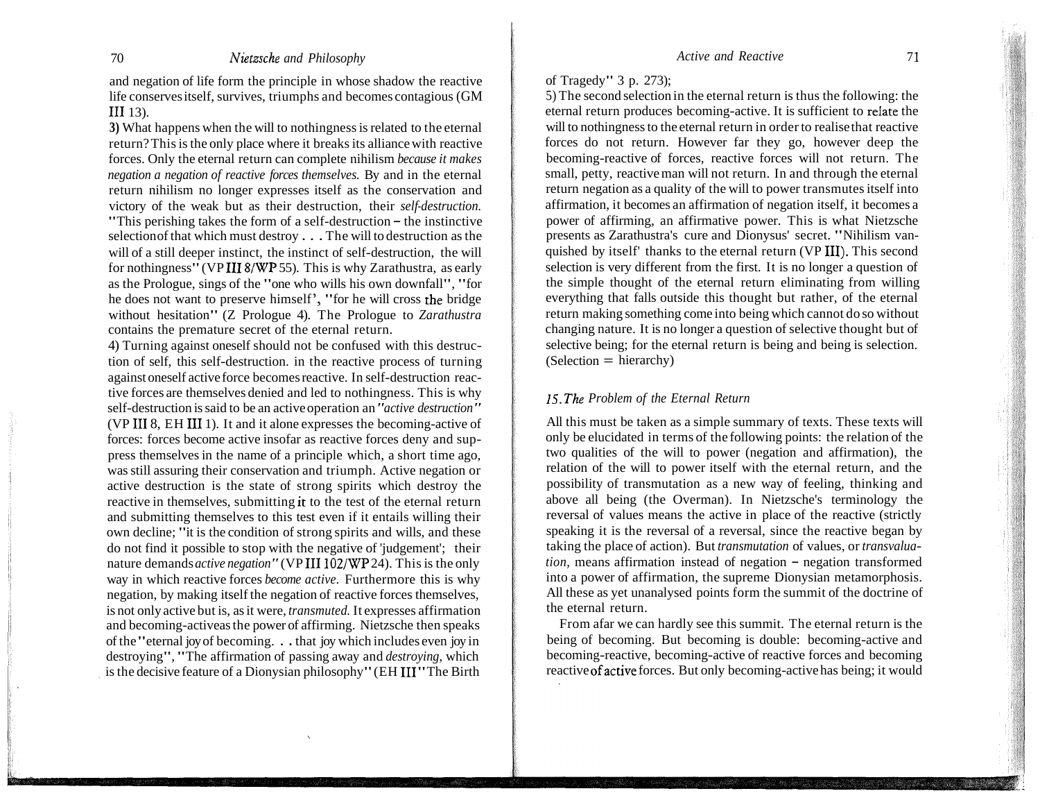and negation of life form the principle in whose shadow the reactive life conserves itself, survives, triumphs and becomes contagious (GM 111 13).

**3)** What happens when the will to nothingness is related to the eternal return? This is the only place where it breaks its alliance with reactive forces. Only the eternal return can complete nihilism *because it makes negation a negation of reactive forces themselves.* By and in the eternal return nihilism no longer expresses itself as the conservation and victory of the weak but as their destruction, their *self-destruction.*  "This perishing takes the form of a self-destruction - the instinctive selection of that which must destroy . . . The will to destruction as the will of a still deeper instinct, the instinct of self-destruction, the will for nothingness" (VP III 8/WP 55). This is why Zarathustra, as early as the Prologue, sings of the "one who wills his own downfall", "for he does not want to preserve himself ', "for he will cross the bridge without hesitation" (Z Prologue 4). The Prologue to *Zarathustra*  contains the premature secret of the eternal return.

4) Turning against oneself should not be confused with this destruction of self, this self-destruction. in the reactive process of turning against oneself active force becomes reactive. In self-destruction reactive forces are themselves denied and led to nothingness. This is why self-destruction is said to be an active operation an *"active destruction"*  (VP I11 8, EH I11 1). It and it alone expresses the becoming-active of forces: forces become active insofar as reactive forces deny and suppress themselves in the name of a principle which, a short time ago, was still assuring their conservation and triumph. Active negation or active destruction is the state of strong spirits which destroy the reactive in themselves, submitting it to the test of the eternal return and submitting themselves to this test even if it entails willing their own decline; "it is the condition of strong spirits and wills, and these do not find it possible to stop with the negative of 'judgement'; their nature demands *active negation*" (VPIII 102/WP 24). This is the only way in which reactive forces *become active.* Furthermore this is why negation, by making itself the negation of reactive forces themselves, is not only active but is, as it were, *transmuted.* It expresses affirmation and becoming-active as the power of affirming. Nietzsche then speaks of the "eternal joy of becoming. . . that joy which includes even joy in destroying", "The affirmation of passing away and *destroying,* which is the decisive feature of a Dionysian philosophy" (EH III "The Birth"

## of Tragedy" 3 p. 273);

5) The second selection in the eternal return is thus the following: the eternal return produces becoming-active. It is sufficient to reIate the will to nothingness to the eternal return in order to realise that reactive forces do not return. However far they go, however deep the becoming-reactive of forces, reactive forces will not return. The small, petty, reactive man will not return. In and through the eternal return negation as a quality of the will to power transmutes itself into affirmation, it becomes an affirmation of negation itself, it becomes a power of affirming, an affirmative power. This is what Nietzsche presents as Zarathustra's cure and Dionysus' secret. "Nihilism vanquished by itself' thanks to the eternal return (VP 111). This second selection is very different from the first. It is no longer a question of the simple thought of the eternal return eliminating from willing everything that falls outside this thought but rather, of the eternal return making something come into being which cannot do so without changing nature. It is no longer a question of selective thought but of selective being; for the eternal return is being and being is selection.  $(Selection = hierarchy)$ 

## *1S.The Problem of the Eternal Return*

All this must be taken as a simple summary of texts. These texts will only be elucidated in terms of the following points: the relation of the two qualities of the will to power (negation and affirmation), the relation of the will to power itself with the eternal return, and the possibility of transmutation as a new way of feeling, thinking and above all being (the Overman). In Nietzsche's terminology the reversal of values means the active in place of the reactive (strictly speaking it is the reversal of a reversal, since the reactive began by taking the place of action). But *transmutation* of values, or *transvaluation,* means affirmation instead of negation - negation transformed into a power of affirmation, the supreme Dionysian metamorphosis. All these as yet unanalysed points form the summit of the doctrine of the eternal return.

From afar we can hardly see this summit. The eternal return is the being of becoming. But becoming is double: becoming-active and becoming-reactive, becoming-active of reactive forces and becoming reactive of active forces. But only becoming-active has being; it would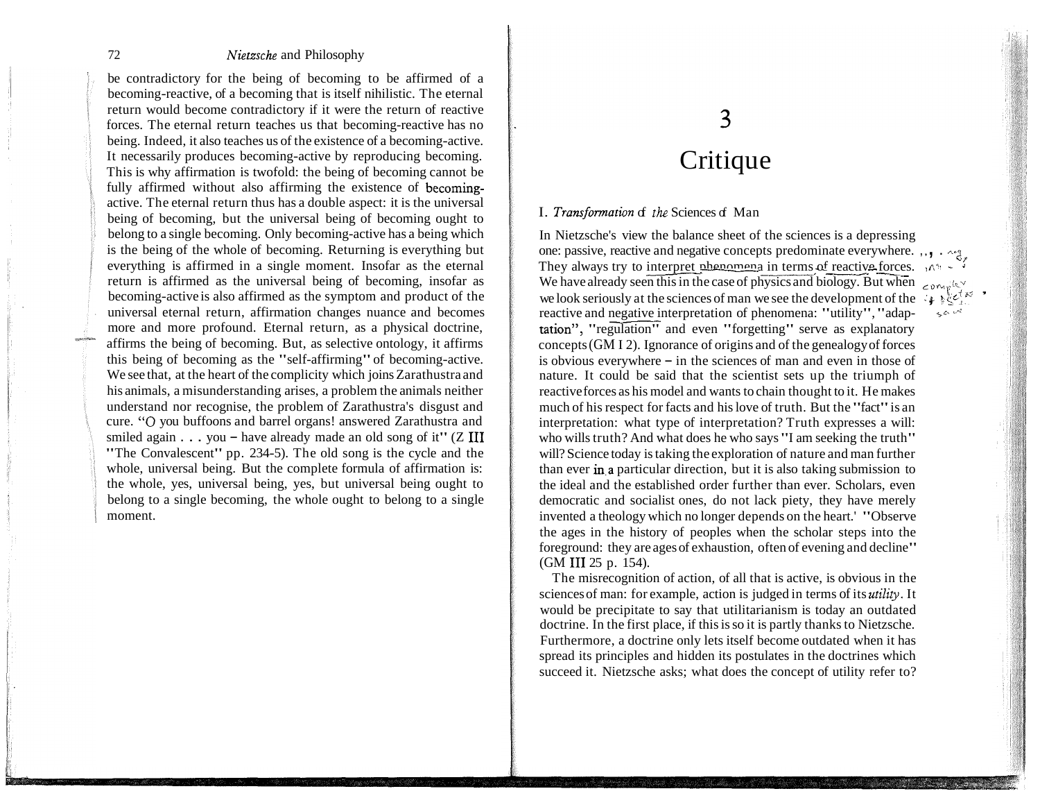be contradictory for the being of becoming to be affirmed of a becoming-reactive, of a becoming that is itself nihilistic. The eternal return would become contradictory if it were the return of reactive forces. The eternal return teaches us that becoming-reactive has no being. Indeed, it also teaches us of the existence of a becoming-active. It necessarily produces becoming-active by reproducing becoming. This is why affirmation is twofold: the being of becoming cannot be fully affirmed without also affirming the existence of becomingactive. The eternal return thus has a double aspect: it is the universal being of becoming, but the universal being of becoming ought to belong to a single becoming. Only becoming-active has a being which is the being of the whole of becoming. Returning is everything but everything is affirmed in a single moment. Insofar as the eternal return is affirmed as the universal being of becoming, insofar as becoming-active is also affirmed as the symptom and product of the universal eternal return, affirmation changes nuance and becomes more and more profound. Eternal return, as a physical doctrine, affirms the being of becoming. But, as selective ontology, it affirms this being of becoming as the "self-affirming" of becoming-active. We see that, at the heart of the complicity which joins Zarathustra and his animals, a misunderstanding arises, a problem the animals neither understand nor recognise, the problem of Zarathustra's disgust and cure. "0 you buffoons and barrel organs! answered Zarathustra and smiled again  $\ldots$  you - have already made an old song of it" (Z III "The Convalescent" pp. 234-5). The old song is the cycle and the whole, universal being. But the complete formula of affirmation is: the whole, yes, universal being, yes, but universal being ought to belong to a single becoming, the whole ought to belong to a single moment.

# 3

# **Critique**

#### I. Transformation of the Sciences of Man

In Nietzsche's view the balance sheet of the sciences is a depressing one: passive, reactive and negative concepts predominate everywhere. , , , . . ...;<br>They always try to <u>interpret phenomena</u> in terms of reactive forces. , $P_1 + P_2$ <br>We have already seen this in the case of physics and biol They always try to interpret phenomena in terms of reactive forces.<br>We have already seen this in the case of physics and biology. But when  $\frac{1}{2}$  we look seriously at the sciences of man we see the development of the reactive and negative interpretation of phenomena: "utility", "adaptation", "regulation" and even "forgetting" serve as explanatory concepts (GM I 2). Ignorance of origins and of the genealogy of forces is obvious everywhere  $-$  in the sciences of man and even in those of nature. It could be said that the scientist sets up the triumph of reactive forces as his model and wants to chain thought to it. He makes much of his respect for facts and his love of truth. But the "fact" is an interpretation: what type of interpretation? Truth expresses a will: who wills truth? And what does he who says "I am seeking the truth" will? Science today is taking the exploration of nature and man further than ever in.a particular direction, but it is also taking submission to the ideal and the established order further than ever. Scholars, even democratic and socialist ones, do not lack piety, they have merely invented a theology which no longer depends on the heart.' "Observe the ages in the history of peoples when the scholar steps into the foreground: they are ages of exhaustion, often of evening and decline" (GM III 25 p. 154).

The misrecognition of action, of all that is active, is obvious in the sciences of man: for example, action is judged in terms of its *utility.* It would be precipitate to say that utilitarianism is today an outdated doctrine. In the first place, if this is so it is partly thanks to Nietzsche. Furthermore, a doctrine only lets itself become outdated when it has spread its principles and hidden its postulates in the doctrines which succeed it. Nietzsche asks; what does the concept of utility refer to?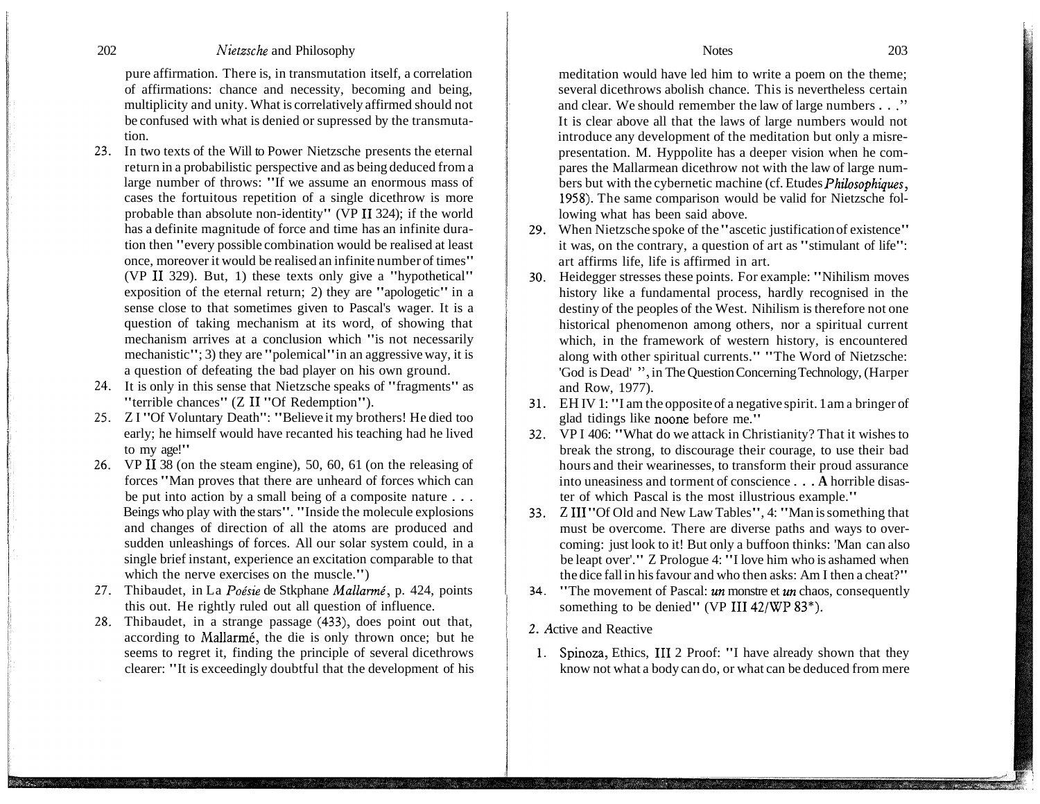#### Notes 203

#### 202 Nietzsche and Philosophy

pure affirmation. There is, in transmutation itself, a correlation of affirmations: chance and necessity, becoming and being, multiplicity and unity. What is correlatively affirmed should not be confused with what is denied or supressed by the transmutation.

- 23. In two texts of the Will to Power Nietzsche presents the eternal return in a probabilistic perspective and as being deduced from a large number of throws: "If we assume an enormous mass of cases the fortuitous repetition of a single dicethrow is more probable than absolute non-identity" (VP I1 324); if the world has a definite magnitude of force and time has an infinite duration then "every possible combination would be realised at least once, moreover it would be realised an infinite number of times" (VP I1 329). But, 1) these texts only give a "hypothetical" exposition of the eternal return; 2) they are "apologetic" in a sense close to that sometimes given to Pascal's wager. It is a question of taking mechanism at its word, of showing that mechanism arrives at a conclusion which "is not necessarily mechanistic"; 3) they are "polemical" in an aggressive way, it is a question of defeating the bad player on his own ground.
- 24. It is only in this sense that Nietzsche speaks of "fragments" as "terrible chances" (Z I1 "Of Redemption").
- 25. Z I "Of Voluntary Death": "Believe it my brothers! He died too early; he himself would have recanted his teaching had he lived to my age!"
- VP I1 38 (on the steam engine), 50, 60, 61 (on the releasing of forces "Man proves that there are unheard of forces which can be put into action by a small being of a composite nature  $\ldots$ Beings who play with the stars". "Inside the molecule explosions and changes of direction of all the atoms are produced and sudden unleashings of forces. All our solar system could, in a single brief instant, experience an excitation comparable to that which the nerve exercises on the muscle."
- 27. Thibaudet, in La Poésie de Stkphane Mallarmé, p. 424, points this out. He rightly ruled out all question of influence.
- Thibaudet, in a strange passage (433), does point out that, 28. according to Mallarmé, the die is only thrown once; but he seems to regret it, finding the principle of several dicethrows clearer: "It is exceedingly doubtful that the development of his

meditation would have led him to write a poem on the theme; several dicethrows abolish chance. This is nevertheless certain and clear. We should remember the law of large numbers . . ." It is clear above all that the laws of large numbers would not introduce any development of the meditation but only a misrepresentation. M. Hyppolite has a deeper vision when he compares the Mallarmean dicethrow not with the law of large numbers but with the cybernetic machine (cf. Etudes *Philosophiques*, 1958). The same comparison would be valid for Nietzsche following what has been said above.

- When Nietzsche spoke of the "ascetic justification of existence" it was, on the contrary, a question of art as "stimulant of life": art affirms life, life is affirmed in art.
- 30. Heidegger stresses these points. For example: "Nihilism moves history like a fundamental process, hardly recognised in the destiny of the peoples of the West. Nihilism is therefore not one historical phenomenon among others, nor a spiritual current which, in the framework of western history, is encountered along with other spiritual currents." "The Word of Nietzsche: 'God is Dead' ", in The Question Concerning Technology, (Harper and Row, 1977).
- EH IV 1: "I am the opposite of a negative spirit. 1 am a bringer of glad tidings like noone before me."
- VP I 406: "What do we attack in Christianity? That it wishes to break the strong, to discourage their courage, to use their bad hours and their wearinesses, to transform their proud assurance into uneasiness and torment of conscience . . . **A** horrible disaster of which Pascal is the most illustrious example."
- 33. ZIII "Of Old and New Law Tables", 4: "Man is something that must be overcome. There are diverse paths and ways to overcoming: just look to it! But only a buffoon thinks: 'Man can also be leapt over'." Z Prologue 4: "I love him who is ashamed when the dice fall in his favour and who then asks: Am I then a cheat?"
- $34.$ "The movement of Pascal:  $un$  monstre et  $un$  chaos, consequently something to be denied" (VP III 42/WP 83\*).
- 2. Active and Reactive
- 1. Spinoza, Ethics, III 2 Proof: "I have already shown that they know not what a body can do, or what can be deduced from mere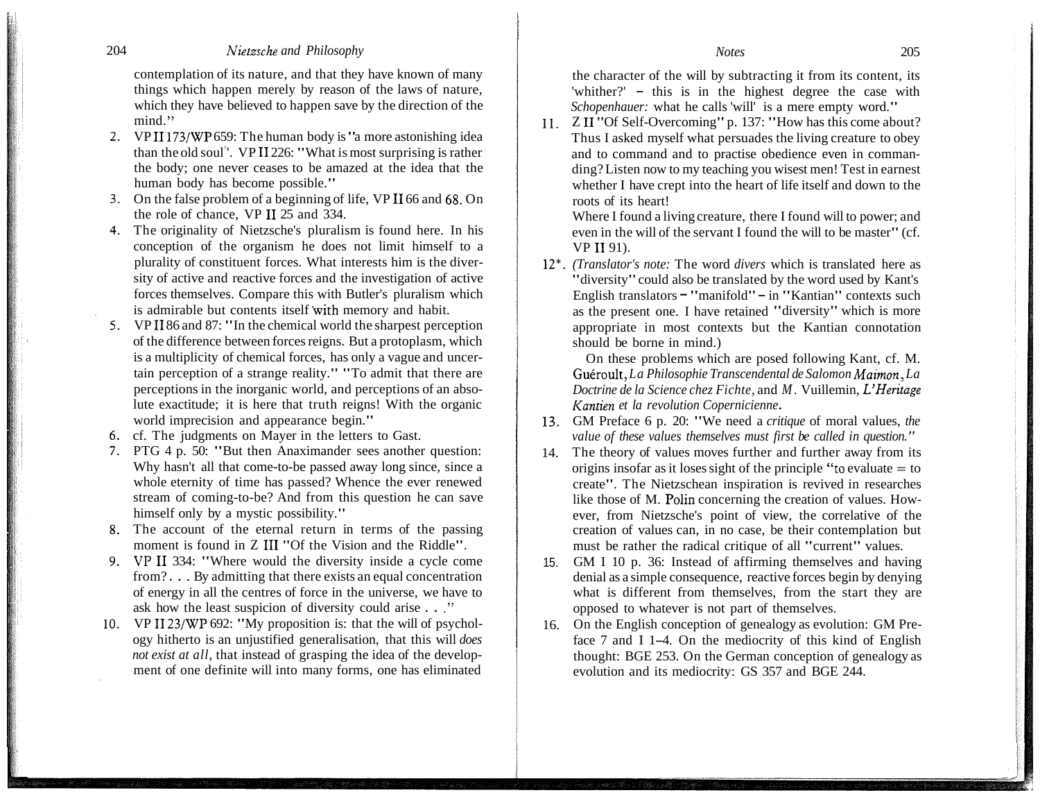contemplation of its nature, and that they have known of many things which happen merely by reason of the laws of nature, which they have believed to happen save by the direction of the mind."

- VP I1 173/WP 659: The human body is "a more astonishing idea than the old soul7 '. VP I1 226: "What is most surprising is rather the body; one never ceases to be amazed at the idea that the human body has become possible."
- On the false problem of a beginning of life, VP I1 66 and 68. On the role of chance, VP I1 25 and 334.
- The originality of Nietzsche's pluralism is found here. In his conception of the organism he does not limit himself to a plurality of constituent forces. What interests him is the diversity of active and reactive forces and the investigation of active forces themselves. Compare this with Butler's pluralism which is admirable but contents itself with memory and habit.
- VP I1 86 and 87: "In the chemical world the sharpest perception of the difference between forces reigns. But a protoplasm, which is a multiplicity of chemical forces, has only a vague and uncertain perception of a strange reality." "To admit that there are perceptions in the inorganic world, and perceptions of an absolute exactitude; it is here that truth reigns! With the organic world imprecision and appearance begin."
- 6. cf. The judgments on Mayer in the letters to Gast.
- PTG 4 p. 50: "But then Anaximander sees another question: Why hasn't all that come-to-be passed away long since, since a whole eternity of time has passed? Whence the ever renewed stream of coming-to-be? And from this question he can save himself only by a mystic possibility."
- The account of the eternal return in terms of the passing moment is found in Z III "Of the Vision and the Riddle".
- **VP** I1 334: "Where would the diversity inside a cycle come from? . . . By admitting that there exists an equal concentration of energy in all the centres of force in the universe, we have to ask how the least suspicion of diversity could arise . . ."
- VP I1 23/WP 692: "My proposition is: that the will of psychology hitherto is an unjustified generalisation, that this will *does not exist at all,* that instead of grasping the idea of the development of one definite will into many forms, one has eliminated

the character of the will by subtracting it from its content, its 'whither?' - this is in the highest degree the case with *Schopenhauer:* what he calls 'will' is a mere empty word."

11. Z I1 "Of Self-Overcoming" p. 137: "How has this come about? Thus I asked myself what persuades the living creature to obey and to command and to practise obedience even in commanding? Listen now to my teaching you wisest men! Test in earnest whether I have crept into the heart of life itself and down to the roots of its heart!

Where I found a living creature, there I found will to power; and even in the will of the servant I found the will to be master" (cf. VP I1 91).

12\*. *(Translator's note:* The word *divers* which is translated here as "diversity" could also be translated by the word used by Kant's English translators  $=$  "manifold"  $-$  in "Kantian" contexts such as the present one. I have retained "diversity" which is more appropriate in most contexts but the Kantian connotation should be borne in mind.)

On these problems which are posed following Kant, cf. M. Gu&oult, *La Philosophie Transcendental de Salomon Maimon, La Doctrine de la Science chez Fichte,* and *M.* Vuillemin, *L'Heritage Icanrien et la revolution Copernicienne* .

- 13. GM Preface 6 p. 20: "We need a *critique* of moral values, *the value of these values themselves must first be called in question."*
- 14. The theory of values moves further and further away from its origins insofar as it loses sight of the principle "to evaluate  $=$  to create". The Nietzschean inspiration is revived in researches like those of M. Polin concerning the creation of values. However, from Nietzsche's point of view, the correlative of the creation of values can, in no case, be their contemplation but must be rather the radical critique of all "current" values.
- 15. GM I 10 p. 36: Instead of affirming themselves and having denial as a simple consequence, reactive forces begin by denying what is different from themselves, from the start they are opposed to whatever is not part of themselves.
- 16. On the English conception of genealogy as evolution: GM Preface 7 and I 1-4. On the mediocrity of this kind of English thought: BGE 253. On the German conception of genealogy as evolution and its mediocrity: GS 357 and BGE 244.